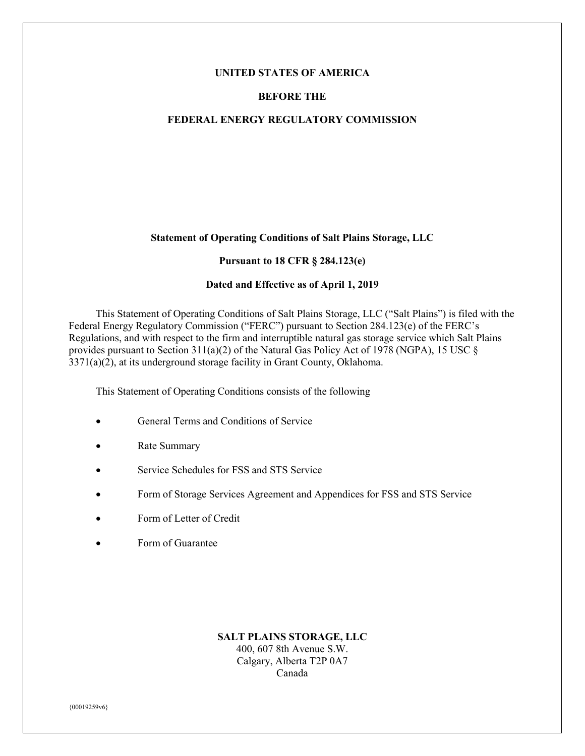#### **UNITED STATES OF AMERICA**

#### **BEFORE THE**

#### **FEDERAL ENERGY REGULATORY COMMISSION**

#### **Statement of Operating Conditions of Salt Plains Storage, LLC**

#### **Pursuant to 18 CFR § 284.123(e)**

## **Dated and Effective as of April 1, 2019**

This Statement of Operating Conditions of Salt Plains Storage, LLC ("Salt Plains") is filed with the Federal Energy Regulatory Commission ("FERC") pursuant to Section 284.123(e) of the FERC's Regulations, and with respect to the firm and interruptible natural gas storage service which Salt Plains provides pursuant to Section 311(a)(2) of the Natural Gas Policy Act of 1978 (NGPA), 15 USC § 3371(a)(2), at its underground storage facility in Grant County, Oklahoma.

This Statement of Operating Conditions consists of the following

- **General Terms and Conditions of Service**
- Rate Summary
- Service Schedules for FSS and STS Service
- Form of Storage Services Agreement and Appendices for FSS and STS Service
- Form of Letter of Credit
- Form of Guarantee

#### **SALT PLAINS STORAGE, LLC** 400, 607 8th Avenue S.W. Calgary, Alberta T2P 0A7 Canada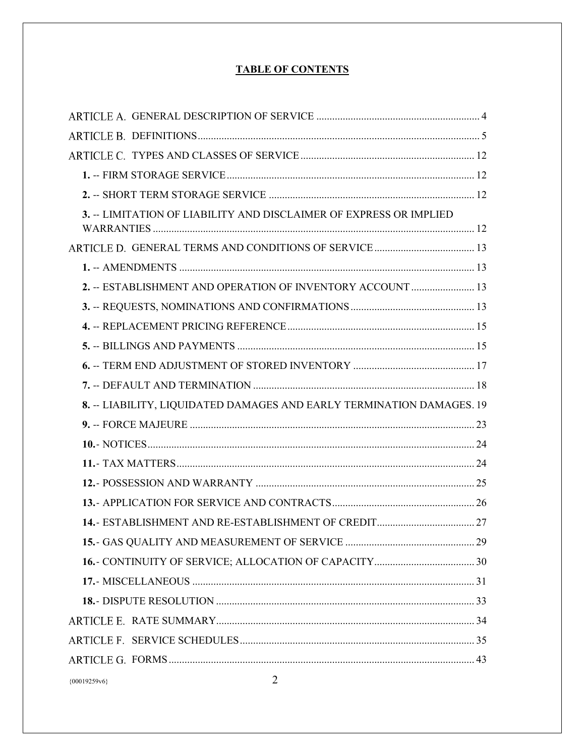# **TABLE OF CONTENTS**

| 3. -- LIMITATION OF LIABILITY AND DISCLAIMER OF EXPRESS OR IMPLIED    |  |
|-----------------------------------------------------------------------|--|
|                                                                       |  |
|                                                                       |  |
|                                                                       |  |
| 2. -- ESTABLISHMENT AND OPERATION OF INVENTORY ACCOUNT  13            |  |
|                                                                       |  |
|                                                                       |  |
|                                                                       |  |
|                                                                       |  |
|                                                                       |  |
|                                                                       |  |
| 8. -- LIABILITY, LIQUIDATED DAMAGES AND EARLY TERMINATION DAMAGES. 19 |  |
|                                                                       |  |
|                                                                       |  |
|                                                                       |  |
|                                                                       |  |
|                                                                       |  |
|                                                                       |  |
|                                                                       |  |
|                                                                       |  |
|                                                                       |  |
|                                                                       |  |
|                                                                       |  |
|                                                                       |  |
|                                                                       |  |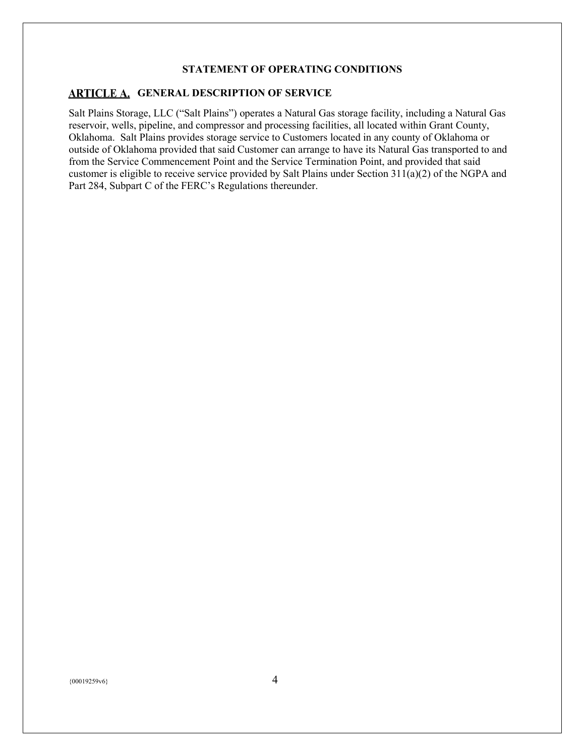#### **STATEMENT OF OPERATING CONDITIONS**

#### <span id="page-3-0"></span>**ARTICLE A. GENERAL DESCRIPTION OF SERVICE**

Salt Plains Storage, LLC ("Salt Plains") operates a Natural Gas storage facility, including a Natural Gas reservoir, wells, pipeline, and compressor and processing facilities, all located within Grant County, Oklahoma. Salt Plains provides storage service to Customers located in any county of Oklahoma or outside of Oklahoma provided that said Customer can arrange to have its Natural Gas transported to and from the Service Commencement Point and the Service Termination Point, and provided that said customer is eligible to receive service provided by Salt Plains under Section 311(a)(2) of the NGPA and Part 284, Subpart C of the FERC's Regulations thereunder.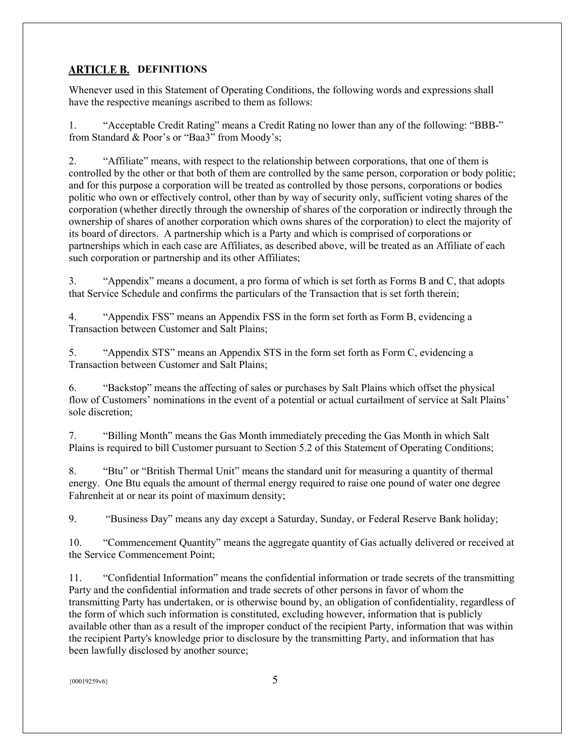# <span id="page-4-0"></span>**ARTICLE B. DEFINITIONS**

Whenever used in this Statement of Operating Conditions, the following words and expressions shall have the respective meanings ascribed to them as follows:

1. "Acceptable Credit Rating" means a Credit Rating no lower than any of the following: "BBB-" from Standard & Poor's or "Baa3" from Moody's;

2. "Affiliate" means, with respect to the relationship between corporations, that one of them is controlled by the other or that both of them are controlled by the same person, corporation or body politic; and for this purpose a corporation will be treated as controlled by those persons, corporations or bodies politic who own or effectively control, other than by way of security only, sufficient voting shares of the corporation (whether directly through the ownership of shares of the corporation or indirectly through the ownership of shares of another corporation which owns shares of the corporation) to elect the majority of its board of directors. A partnership which is a Party and which is comprised of corporations or partnerships which in each case are Affiliates, as described above, will be treated as an Affiliate of each such corporation or partnership and its other Affiliates;

3. "Appendix" means a document, a pro forma of which is set forth as Forms B and C, that adopts that Service Schedule and confirms the particulars of the Transaction that is set forth therein;

4. "Appendix FSS" means an Appendix FSS in the form set forth as Form B, evidencing a Transaction between Customer and Salt Plains;

5. "Appendix STS" means an Appendix STS in the form set forth as Form C, evidencing a Transaction between Customer and Salt Plains;

6. "Backstop" means the affecting of sales or purchases by Salt Plains which offset the physical flow of Customers' nominations in the event of a potential or actual curtailment of service at Salt Plains' sole discretion;

7. "Billing Month" means the Gas Month immediately preceding the Gas Month in which Salt Plains is required to bill Customer pursuant to Section 5.2 of this Statement of Operating Conditions;

8. "Btu" or "British Thermal Unit" means the standard unit for measuring a quantity of thermal energy. One Btu equals the amount of thermal energy required to raise one pound of water one degree Fahrenheit at or near its point of maximum density;

9. "Business Day" means any day except a Saturday, Sunday, or Federal Reserve Bank holiday;

10. "Commencement Quantity" means the aggregate quantity of Gas actually delivered or received at the Service Commencement Point;

11. "Confidential Information" means the confidential information or trade secrets of the transmitting Party and the confidential information and trade secrets of other persons in favor of whom the transmitting Party has undertaken, or is otherwise bound by, an obligation of confidentiality, regardless of the form of which such information is constituted, excluding however, information that is publicly available other than as a result of the improper conduct of the recipient Party, information that was within the recipient Party's knowledge prior to disclosure by the transmitting Party, and information that has been lawfully disclosed by another source;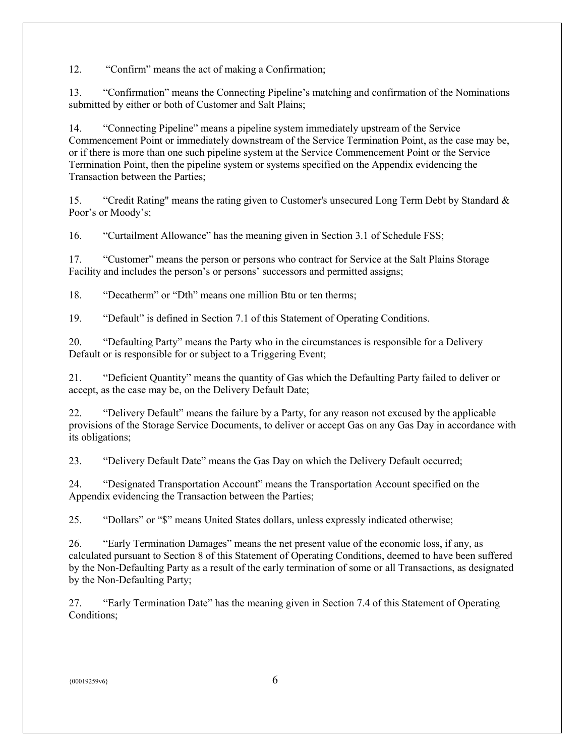12. "Confirm" means the act of making a Confirmation;

13. "Confirmation" means the Connecting Pipeline's matching and confirmation of the Nominations submitted by either or both of Customer and Salt Plains;

14. "Connecting Pipeline" means a pipeline system immediately upstream of the Service Commencement Point or immediately downstream of the Service Termination Point, as the case may be, or if there is more than one such pipeline system at the Service Commencement Point or the Service Termination Point, then the pipeline system or systems specified on the Appendix evidencing the Transaction between the Parties;

15. "Credit Rating" means the rating given to Customer's unsecured Long Term Debt by Standard & Poor's or Moody's;

16. "Curtailment Allowance" has the meaning given in Section 3.1 of Schedule FSS;

17. "Customer" means the person or persons who contract for Service at the Salt Plains Storage Facility and includes the person's or persons' successors and permitted assigns;

18. "Decatherm" or "Dth" means one million Btu or ten therms;

19. "Default" is defined in Section 7.1 of this Statement of Operating Conditions.

20. "Defaulting Party" means the Party who in the circumstances is responsible for a Delivery Default or is responsible for or subject to a Triggering Event;

21. "Deficient Quantity" means the quantity of Gas which the Defaulting Party failed to deliver or accept, as the case may be, on the Delivery Default Date;

22. "Delivery Default" means the failure by a Party, for any reason not excused by the applicable provisions of the Storage Service Documents, to deliver or accept Gas on any Gas Day in accordance with its obligations;

23. "Delivery Default Date" means the Gas Day on which the Delivery Default occurred;

24. "Designated Transportation Account" means the Transportation Account specified on the Appendix evidencing the Transaction between the Parties;

25. "Dollars" or "\$" means United States dollars, unless expressly indicated otherwise;

26. "Early Termination Damages" means the net present value of the economic loss, if any, as calculated pursuant to Section 8 of this Statement of Operating Conditions, deemed to have been suffered by the Non-Defaulting Party as a result of the early termination of some or all Transactions, as designated by the Non-Defaulting Party;

27. "Early Termination Date" has the meaning given in Section 7.4 of this Statement of Operating Conditions;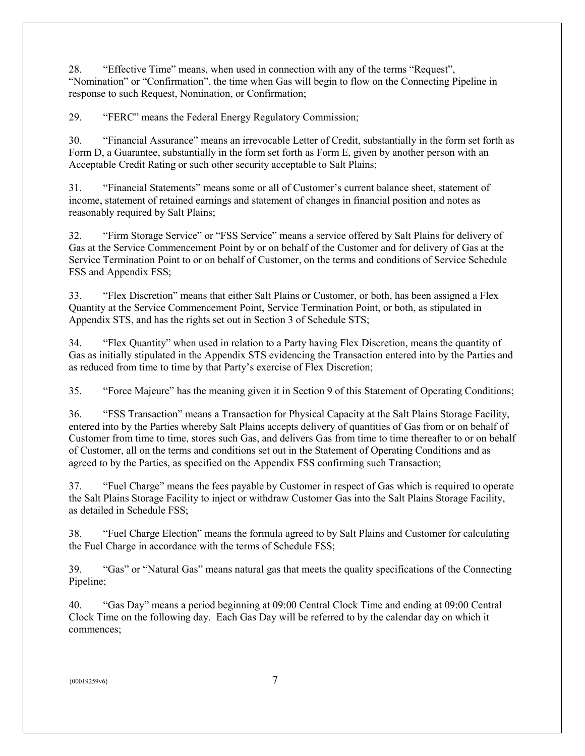28. "Effective Time" means, when used in connection with any of the terms "Request", "Nomination" or "Confirmation", the time when Gas will begin to flow on the Connecting Pipeline in response to such Request, Nomination, or Confirmation;

29. "FERC" means the Federal Energy Regulatory Commission;

30. "Financial Assurance" means an irrevocable Letter of Credit, substantially in the form set forth as Form D, a Guarantee, substantially in the form set forth as Form E, given by another person with an Acceptable Credit Rating or such other security acceptable to Salt Plains;

31. "Financial Statements" means some or all of Customer's current balance sheet, statement of income, statement of retained earnings and statement of changes in financial position and notes as reasonably required by Salt Plains;

32. "Firm Storage Service" or "FSS Service" means a service offered by Salt Plains for delivery of Gas at the Service Commencement Point by or on behalf of the Customer and for delivery of Gas at the Service Termination Point to or on behalf of Customer, on the terms and conditions of Service Schedule FSS and Appendix FSS;

33. "Flex Discretion" means that either Salt Plains or Customer, or both, has been assigned a Flex Quantity at the Service Commencement Point, Service Termination Point, or both, as stipulated in Appendix STS, and has the rights set out in Section 3 of Schedule STS;

34. "Flex Quantity" when used in relation to a Party having Flex Discretion, means the quantity of Gas as initially stipulated in the Appendix STS evidencing the Transaction entered into by the Parties and as reduced from time to time by that Party's exercise of Flex Discretion;

35. "Force Majeure" has the meaning given it in Section 9 of this Statement of Operating Conditions;

36. "FSS Transaction" means a Transaction for Physical Capacity at the Salt Plains Storage Facility, entered into by the Parties whereby Salt Plains accepts delivery of quantities of Gas from or on behalf of Customer from time to time, stores such Gas, and delivers Gas from time to time thereafter to or on behalf of Customer, all on the terms and conditions set out in the Statement of Operating Conditions and as agreed to by the Parties, as specified on the Appendix FSS confirming such Transaction;

37. "Fuel Charge" means the fees payable by Customer in respect of Gas which is required to operate the Salt Plains Storage Facility to inject or withdraw Customer Gas into the Salt Plains Storage Facility, as detailed in Schedule FSS;

38. "Fuel Charge Election" means the formula agreed to by Salt Plains and Customer for calculating the Fuel Charge in accordance with the terms of Schedule FSS;

39. "Gas" or "Natural Gas" means natural gas that meets the quality specifications of the Connecting Pipeline;

40. "Gas Day" means a period beginning at 09:00 Central Clock Time and ending at 09:00 Central Clock Time on the following day. Each Gas Day will be referred to by the calendar day on which it commences;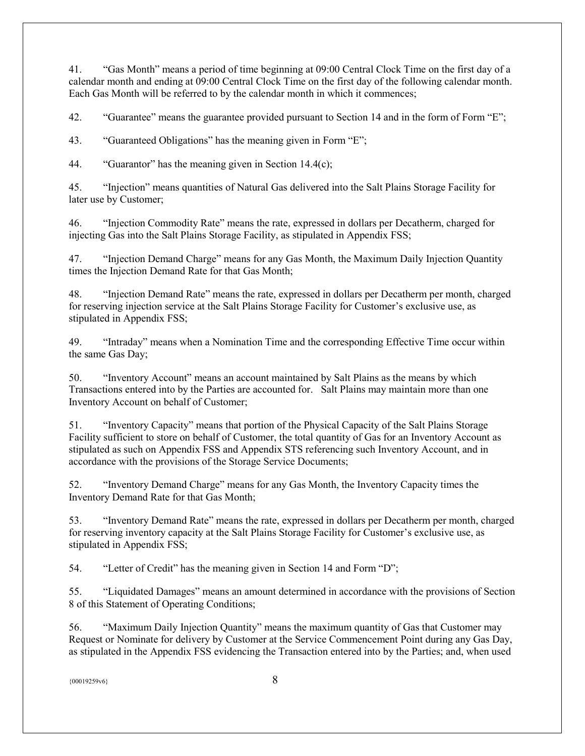41. "Gas Month" means a period of time beginning at 09:00 Central Clock Time on the first day of a calendar month and ending at 09:00 Central Clock Time on the first day of the following calendar month. Each Gas Month will be referred to by the calendar month in which it commences;

42. "Guarantee" means the guarantee provided pursuant to Section 14 and in the form of Form "E";

43. "Guaranteed Obligations" has the meaning given in Form "E";

44. "Guarantor" has the meaning given in Section 14.4(c);

45. "Injection" means quantities of Natural Gas delivered into the Salt Plains Storage Facility for later use by Customer;

46. "Injection Commodity Rate" means the rate, expressed in dollars per Decatherm, charged for injecting Gas into the Salt Plains Storage Facility, as stipulated in Appendix FSS;

47. "Injection Demand Charge" means for any Gas Month, the Maximum Daily Injection Quantity times the Injection Demand Rate for that Gas Month;

48. "Injection Demand Rate" means the rate, expressed in dollars per Decatherm per month, charged for reserving injection service at the Salt Plains Storage Facility for Customer's exclusive use, as stipulated in Appendix FSS;

49. "Intraday" means when a Nomination Time and the corresponding Effective Time occur within the same Gas Day;

50. "Inventory Account" means an account maintained by Salt Plains as the means by which Transactions entered into by the Parties are accounted for. Salt Plains may maintain more than one Inventory Account on behalf of Customer;

51. "Inventory Capacity" means that portion of the Physical Capacity of the Salt Plains Storage Facility sufficient to store on behalf of Customer, the total quantity of Gas for an Inventory Account as stipulated as such on Appendix FSS and Appendix STS referencing such Inventory Account, and in accordance with the provisions of the Storage Service Documents;

52. "Inventory Demand Charge" means for any Gas Month, the Inventory Capacity times the Inventory Demand Rate for that Gas Month;

53. "Inventory Demand Rate" means the rate, expressed in dollars per Decatherm per month, charged for reserving inventory capacity at the Salt Plains Storage Facility for Customer's exclusive use, as stipulated in Appendix FSS;

54. "Letter of Credit" has the meaning given in Section 14 and Form "D";

55. "Liquidated Damages" means an amount determined in accordance with the provisions of Section 8 of this Statement of Operating Conditions;

56. "Maximum Daily Injection Quantity" means the maximum quantity of Gas that Customer may Request or Nominate for delivery by Customer at the Service Commencement Point during any Gas Day, as stipulated in the Appendix FSS evidencing the Transaction entered into by the Parties; and, when used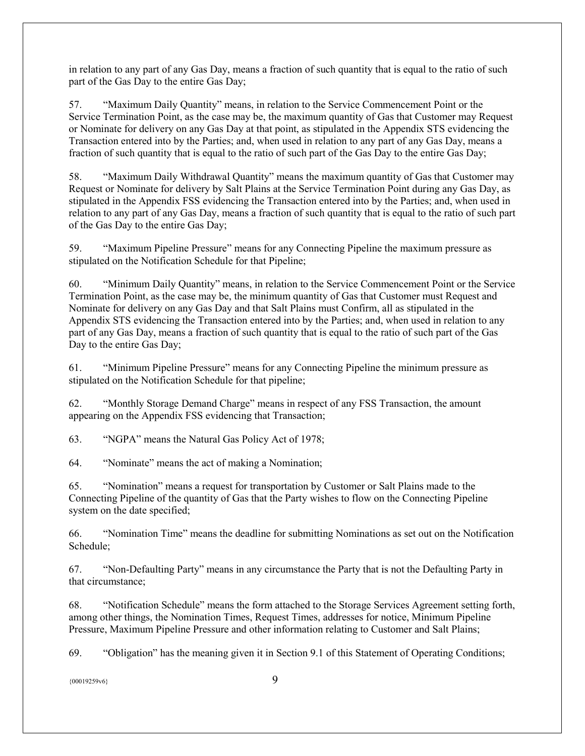in relation to any part of any Gas Day, means a fraction of such quantity that is equal to the ratio of such part of the Gas Day to the entire Gas Day;

57. "Maximum Daily Quantity" means, in relation to the Service Commencement Point or the Service Termination Point, as the case may be, the maximum quantity of Gas that Customer may Request or Nominate for delivery on any Gas Day at that point, as stipulated in the Appendix STS evidencing the Transaction entered into by the Parties; and, when used in relation to any part of any Gas Day, means a fraction of such quantity that is equal to the ratio of such part of the Gas Day to the entire Gas Day;

58. "Maximum Daily Withdrawal Quantity" means the maximum quantity of Gas that Customer may Request or Nominate for delivery by Salt Plains at the Service Termination Point during any Gas Day, as stipulated in the Appendix FSS evidencing the Transaction entered into by the Parties; and, when used in relation to any part of any Gas Day, means a fraction of such quantity that is equal to the ratio of such part of the Gas Day to the entire Gas Day;

59. "Maximum Pipeline Pressure" means for any Connecting Pipeline the maximum pressure as stipulated on the Notification Schedule for that Pipeline;

60. "Minimum Daily Quantity" means, in relation to the Service Commencement Point or the Service Termination Point, as the case may be, the minimum quantity of Gas that Customer must Request and Nominate for delivery on any Gas Day and that Salt Plains must Confirm, all as stipulated in the Appendix STS evidencing the Transaction entered into by the Parties; and, when used in relation to any part of any Gas Day, means a fraction of such quantity that is equal to the ratio of such part of the Gas Day to the entire Gas Day;

61. "Minimum Pipeline Pressure" means for any Connecting Pipeline the minimum pressure as stipulated on the Notification Schedule for that pipeline;

62. "Monthly Storage Demand Charge" means in respect of any FSS Transaction, the amount appearing on the Appendix FSS evidencing that Transaction;

63. "NGPA" means the Natural Gas Policy Act of 1978;

64. "Nominate" means the act of making a Nomination;

65. "Nomination" means a request for transportation by Customer or Salt Plains made to the Connecting Pipeline of the quantity of Gas that the Party wishes to flow on the Connecting Pipeline system on the date specified;

66. "Nomination Time" means the deadline for submitting Nominations as set out on the Notification Schedule;

67. "Non-Defaulting Party" means in any circumstance the Party that is not the Defaulting Party in that circumstance;

68. "Notification Schedule" means the form attached to the Storage Services Agreement setting forth, among other things, the Nomination Times, Request Times, addresses for notice, Minimum Pipeline Pressure, Maximum Pipeline Pressure and other information relating to Customer and Salt Plains;

69. "Obligation" has the meaning given it in Section 9.1 of this Statement of Operating Conditions;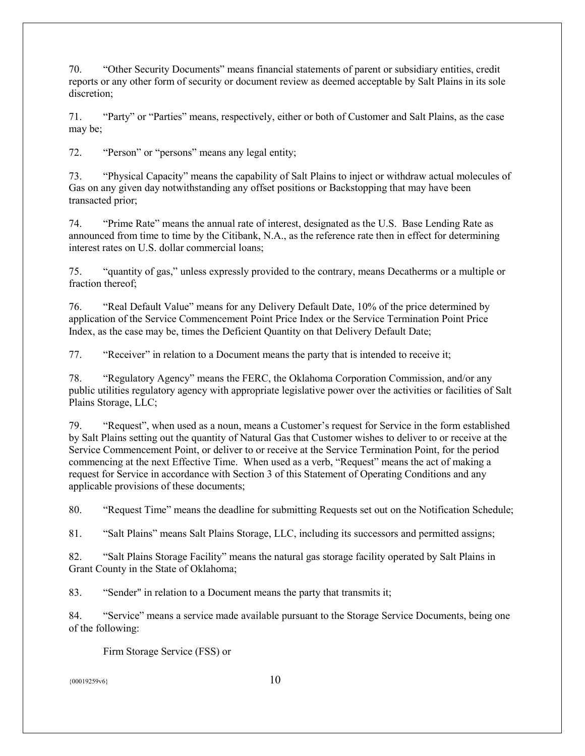70. "Other Security Documents" means financial statements of parent or subsidiary entities, credit reports or any other form of security or document review as deemed acceptable by Salt Plains in its sole discretion;

71. "Party" or "Parties" means, respectively, either or both of Customer and Salt Plains, as the case may be;

72. "Person" or "persons" means any legal entity;

73. "Physical Capacity" means the capability of Salt Plains to inject or withdraw actual molecules of Gas on any given day notwithstanding any offset positions or Backstopping that may have been transacted prior;

74. "Prime Rate" means the annual rate of interest, designated as the U.S. Base Lending Rate as announced from time to time by the Citibank, N.A., as the reference rate then in effect for determining interest rates on U.S. dollar commercial loans;

75. "quantity of gas," unless expressly provided to the contrary, means Decatherms or a multiple or fraction thereof;

76. "Real Default Value" means for any Delivery Default Date, 10% of the price determined by application of the Service Commencement Point Price Index or the Service Termination Point Price Index, as the case may be, times the Deficient Quantity on that Delivery Default Date;

77. "Receiver" in relation to a Document means the party that is intended to receive it;

78. "Regulatory Agency" means the FERC, the Oklahoma Corporation Commission, and/or any public utilities regulatory agency with appropriate legislative power over the activities or facilities of Salt Plains Storage, LLC;

79. "Request", when used as a noun, means a Customer's request for Service in the form established by Salt Plains setting out the quantity of Natural Gas that Customer wishes to deliver to or receive at the Service Commencement Point, or deliver to or receive at the Service Termination Point, for the period commencing at the next Effective Time. When used as a verb, "Request" means the act of making a request for Service in accordance with Section 3 of this Statement of Operating Conditions and any applicable provisions of these documents;

80. "Request Time" means the deadline for submitting Requests set out on the Notification Schedule;

81. "Salt Plains" means Salt Plains Storage, LLC, including its successors and permitted assigns;

82. "Salt Plains Storage Facility" means the natural gas storage facility operated by Salt Plains in Grant County in the State of Oklahoma;

83. "Sender" in relation to a Document means the party that transmits it;

84. "Service" means a service made available pursuant to the Storage Service Documents, being one of the following:

Firm Storage Service (FSS) or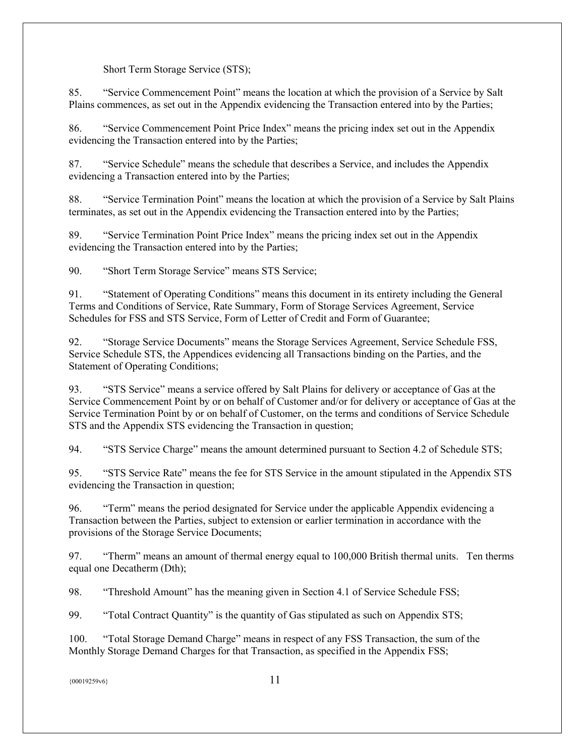# Short Term Storage Service (STS);

85. "Service Commencement Point" means the location at which the provision of a Service by Salt Plains commences, as set out in the Appendix evidencing the Transaction entered into by the Parties;

86. "Service Commencement Point Price Index" means the pricing index set out in the Appendix evidencing the Transaction entered into by the Parties;

87. "Service Schedule" means the schedule that describes a Service, and includes the Appendix evidencing a Transaction entered into by the Parties;

88. "Service Termination Point" means the location at which the provision of a Service by Salt Plains terminates, as set out in the Appendix evidencing the Transaction entered into by the Parties;

89. "Service Termination Point Price Index" means the pricing index set out in the Appendix evidencing the Transaction entered into by the Parties;

90. "Short Term Storage Service" means STS Service;

91. "Statement of Operating Conditions" means this document in its entirety including the General Terms and Conditions of Service, Rate Summary, Form of Storage Services Agreement, Service Schedules for FSS and STS Service, Form of Letter of Credit and Form of Guarantee;

92. "Storage Service Documents" means the Storage Services Agreement, Service Schedule FSS, Service Schedule STS, the Appendices evidencing all Transactions binding on the Parties, and the Statement of Operating Conditions;

93. "STS Service" means a service offered by Salt Plains for delivery or acceptance of Gas at the Service Commencement Point by or on behalf of Customer and/or for delivery or acceptance of Gas at the Service Termination Point by or on behalf of Customer, on the terms and conditions of Service Schedule STS and the Appendix STS evidencing the Transaction in question;

94. "STS Service Charge" means the amount determined pursuant to Section 4.2 of Schedule STS;

95. "STS Service Rate" means the fee for STS Service in the amount stipulated in the Appendix STS evidencing the Transaction in question;

96. "Term" means the period designated for Service under the applicable Appendix evidencing a Transaction between the Parties, subject to extension or earlier termination in accordance with the provisions of the Storage Service Documents;

97. "Therm" means an amount of thermal energy equal to 100,000 British thermal units. Ten therms equal one Decatherm (Dth);

98. "Threshold Amount" has the meaning given in Section 4.1 of Service Schedule FSS;

99. "Total Contract Quantity" is the quantity of Gas stipulated as such on Appendix STS;

100. "Total Storage Demand Charge" means in respect of any FSS Transaction, the sum of the Monthly Storage Demand Charges for that Transaction, as specified in the Appendix FSS;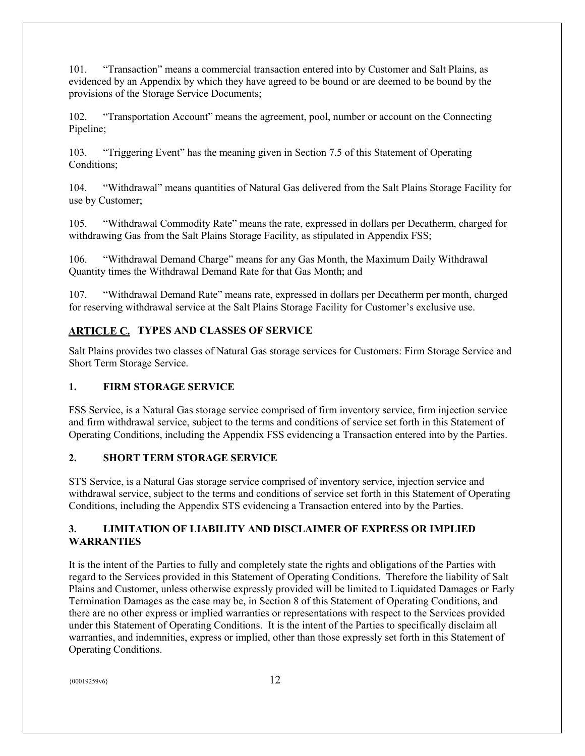101. "Transaction" means a commercial transaction entered into by Customer and Salt Plains, as evidenced by an Appendix by which they have agreed to be bound or are deemed to be bound by the provisions of the Storage Service Documents;

102. "Transportation Account" means the agreement, pool, number or account on the Connecting Pipeline;

103. "Triggering Event" has the meaning given in Section 7.5 of this Statement of Operating Conditions;

104. "Withdrawal" means quantities of Natural Gas delivered from the Salt Plains Storage Facility for use by Customer;

105. "Withdrawal Commodity Rate" means the rate, expressed in dollars per Decatherm, charged for withdrawing Gas from the Salt Plains Storage Facility, as stipulated in Appendix FSS;

106. "Withdrawal Demand Charge" means for any Gas Month, the Maximum Daily Withdrawal Quantity times the Withdrawal Demand Rate for that Gas Month; and

107. "Withdrawal Demand Rate" means rate, expressed in dollars per Decatherm per month, charged for reserving withdrawal service at the Salt Plains Storage Facility for Customer's exclusive use.

# <span id="page-11-0"></span>**ARTICLE C. TYPES AND CLASSES OF SERVICE**

Salt Plains provides two classes of Natural Gas storage services for Customers: Firm Storage Service and Short Term Storage Service.

# <span id="page-11-1"></span>**1. FIRM STORAGE SERVICE**

FSS Service, is a Natural Gas storage service comprised of firm inventory service, firm injection service and firm withdrawal service, subject to the terms and conditions of service set forth in this Statement of Operating Conditions, including the Appendix FSS evidencing a Transaction entered into by the Parties.

# <span id="page-11-2"></span>**2. SHORT TERM STORAGE SERVICE**

STS Service, is a Natural Gas storage service comprised of inventory service, injection service and withdrawal service, subject to the terms and conditions of service set forth in this Statement of Operating Conditions, including the Appendix STS evidencing a Transaction entered into by the Parties.

# <span id="page-11-3"></span>**3. LIMITATION OF LIABILITY AND DISCLAIMER OF EXPRESS OR IMPLIED WARRANTIES**

It is the intent of the Parties to fully and completely state the rights and obligations of the Parties with regard to the Services provided in this Statement of Operating Conditions. Therefore the liability of Salt Plains and Customer, unless otherwise expressly provided will be limited to Liquidated Damages or Early Termination Damages as the case may be, in Section 8 of this Statement of Operating Conditions, and there are no other express or implied warranties or representations with respect to the Services provided under this Statement of Operating Conditions. It is the intent of the Parties to specifically disclaim all warranties, and indemnities, express or implied, other than those expressly set forth in this Statement of Operating Conditions.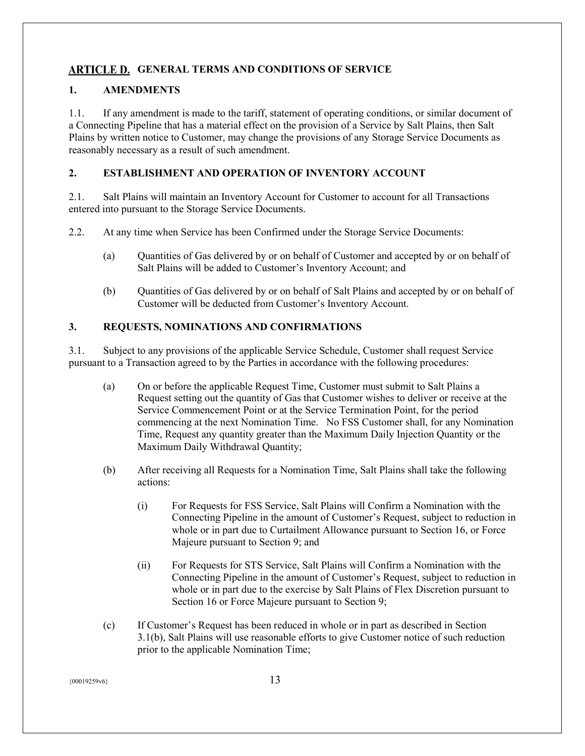# <span id="page-12-0"></span>**ARTICLE D. GENERAL TERMS AND CONDITIONS OF SERVICE**

# <span id="page-12-1"></span>**1. AMENDMENTS**

1.1. If any amendment is made to the tariff, statement of operating conditions, or similar document of a Connecting Pipeline that has a material effect on the provision of a Service by Salt Plains, then Salt Plains by written notice to Customer, may change the provisions of any Storage Service Documents as reasonably necessary as a result of such amendment.

# <span id="page-12-2"></span>**2. ESTABLISHMENT AND OPERATION OF INVENTORY ACCOUNT**

2.1. Salt Plains will maintain an Inventory Account for Customer to account for all Transactions entered into pursuant to the Storage Service Documents.

2.2. At any time when Service has been Confirmed under the Storage Service Documents:

- (a) Quantities of Gas delivered by or on behalf of Customer and accepted by or on behalf of Salt Plains will be added to Customer's Inventory Account; and
- (b) Quantities of Gas delivered by or on behalf of Salt Plains and accepted by or on behalf of Customer will be deducted from Customer's Inventory Account.

# <span id="page-12-3"></span>**3. REQUESTS, NOMINATIONS AND CONFIRMATIONS**

3.1. Subject to any provisions of the applicable Service Schedule, Customer shall request Service pursuant to a Transaction agreed to by the Parties in accordance with the following procedures:

- (a) On or before the applicable Request Time, Customer must submit to Salt Plains a Request setting out the quantity of Gas that Customer wishes to deliver or receive at the Service Commencement Point or at the Service Termination Point, for the period commencing at the next Nomination Time. No FSS Customer shall, for any Nomination Time, Request any quantity greater than the Maximum Daily Injection Quantity or the Maximum Daily Withdrawal Quantity;
- (b) After receiving all Requests for a Nomination Time, Salt Plains shall take the following actions:
	- (i) For Requests for FSS Service, Salt Plains will Confirm a Nomination with the Connecting Pipeline in the amount of Customer's Request, subject to reduction in whole or in part due to Curtailment Allowance pursuant to Section 16, or Force Majeure pursuant to Section 9; and
	- (ii) For Requests for STS Service, Salt Plains will Confirm a Nomination with the Connecting Pipeline in the amount of Customer's Request, subject to reduction in whole or in part due to the exercise by Salt Plains of Flex Discretion pursuant to Section 16 or Force Majeure pursuant to Section 9;
- (c) If Customer's Request has been reduced in whole or in part as described in Section 3.1(b), Salt Plains will use reasonable efforts to give Customer notice of such reduction prior to the applicable Nomination Time;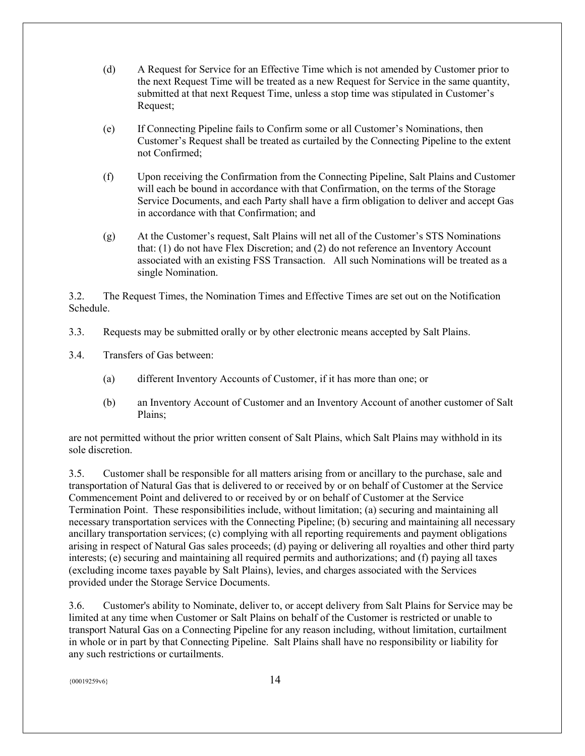- (d) A Request for Service for an Effective Time which is not amended by Customer prior to the next Request Time will be treated as a new Request for Service in the same quantity, submitted at that next Request Time, unless a stop time was stipulated in Customer's Request;
- (e) If Connecting Pipeline fails to Confirm some or all Customer's Nominations, then Customer's Request shall be treated as curtailed by the Connecting Pipeline to the extent not Confirmed;
- (f) Upon receiving the Confirmation from the Connecting Pipeline, Salt Plains and Customer will each be bound in accordance with that Confirmation, on the terms of the Storage Service Documents, and each Party shall have a firm obligation to deliver and accept Gas in accordance with that Confirmation; and
- (g) At the Customer's request, Salt Plains will net all of the Customer's STS Nominations that: (1) do not have Flex Discretion; and (2) do not reference an Inventory Account associated with an existing FSS Transaction. All such Nominations will be treated as a single Nomination.

3.2. The Request Times, the Nomination Times and Effective Times are set out on the Notification Schedule.

3.3. Requests may be submitted orally or by other electronic means accepted by Salt Plains.

3.4. Transfers of Gas between:

- (a) different Inventory Accounts of Customer, if it has more than one; or
- (b) an Inventory Account of Customer and an Inventory Account of another customer of Salt Plains;

are not permitted without the prior written consent of Salt Plains, which Salt Plains may withhold in its sole discretion.

3.5. Customer shall be responsible for all matters arising from or ancillary to the purchase, sale and transportation of Natural Gas that is delivered to or received by or on behalf of Customer at the Service Commencement Point and delivered to or received by or on behalf of Customer at the Service Termination Point. These responsibilities include, without limitation; (a) securing and maintaining all necessary transportation services with the Connecting Pipeline; (b) securing and maintaining all necessary ancillary transportation services; (c) complying with all reporting requirements and payment obligations arising in respect of Natural Gas sales proceeds; (d) paying or delivering all royalties and other third party interests; (e) securing and maintaining all required permits and authorizations; and (f) paying all taxes (excluding income taxes payable by Salt Plains), levies, and charges associated with the Services provided under the Storage Service Documents.

3.6. Customer's ability to Nominate, deliver to, or accept delivery from Salt Plains for Service may be limited at any time when Customer or Salt Plains on behalf of the Customer is restricted or unable to transport Natural Gas on a Connecting Pipeline for any reason including, without limitation, curtailment in whole or in part by that Connecting Pipeline. Salt Plains shall have no responsibility or liability for any such restrictions or curtailments.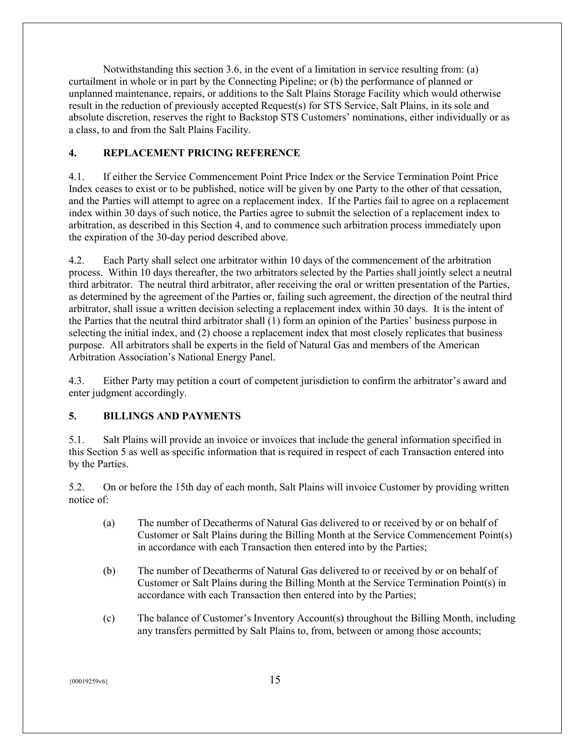Notwithstanding this section 3.6, in the event of a limitation in service resulting from: (a) curtailment in whole or in part by the Connecting Pipeline; or (b) the performance of planned or unplanned maintenance, repairs, or additions to the Salt Plains Storage Facility which would otherwise result in the reduction of previously accepted Request(s) for STS Service, Salt Plains, in its sole and absolute discretion, reserves the right to Backstop STS Customers' nominations, either individually or as a class, to and from the Salt Plains Facility.

# <span id="page-14-0"></span>**4. REPLACEMENT PRICING REFERENCE**

4.1. If either the Service Commencement Point Price Index or the Service Termination Point Price Index ceases to exist or to be published, notice will be given by one Party to the other of that cessation, and the Parties will attempt to agree on a replacement index. If the Parties fail to agree on a replacement index within 30 days of such notice, the Parties agree to submit the selection of a replacement index to arbitration, as described in this Section 4, and to commence such arbitration process immediately upon the expiration of the 30-day period described above.

4.2. Each Party shall select one arbitrator within 10 days of the commencement of the arbitration process. Within 10 days thereafter, the two arbitrators selected by the Parties shall jointly select a neutral third arbitrator. The neutral third arbitrator, after receiving the oral or written presentation of the Parties, as determined by the agreement of the Parties or, failing such agreement, the direction of the neutral third arbitrator, shall issue a written decision selecting a replacement index within 30 days. It is the intent of the Parties that the neutral third arbitrator shall (1) form an opinion of the Parties' business purpose in selecting the initial index, and (2) choose a replacement index that most closely replicates that business purpose. All arbitrators shall be experts in the field of Natural Gas and members of the American Arbitration Association's National Energy Panel.

4.3. Either Party may petition a court of competent jurisdiction to confirm the arbitrator's award and enter judgment accordingly.

# <span id="page-14-1"></span>**5. BILLINGS AND PAYMENTS**

5.1. Salt Plains will provide an invoice or invoices that include the general information specified in this Section 5 as well as specific information that is required in respect of each Transaction entered into by the Parties.

5.2. On or before the 15th day of each month, Salt Plains will invoice Customer by providing written notice of:

- (a) The number of Decatherms of Natural Gas delivered to or received by or on behalf of Customer or Salt Plains during the Billing Month at the Service Commencement Point(s) in accordance with each Transaction then entered into by the Parties;
- (b) The number of Decatherms of Natural Gas delivered to or received by or on behalf of Customer or Salt Plains during the Billing Month at the Service Termination Point(s) in accordance with each Transaction then entered into by the Parties;
- (c) The balance of Customer's Inventory Account(s) throughout the Billing Month, including any transfers permitted by Salt Plains to, from, between or among those accounts;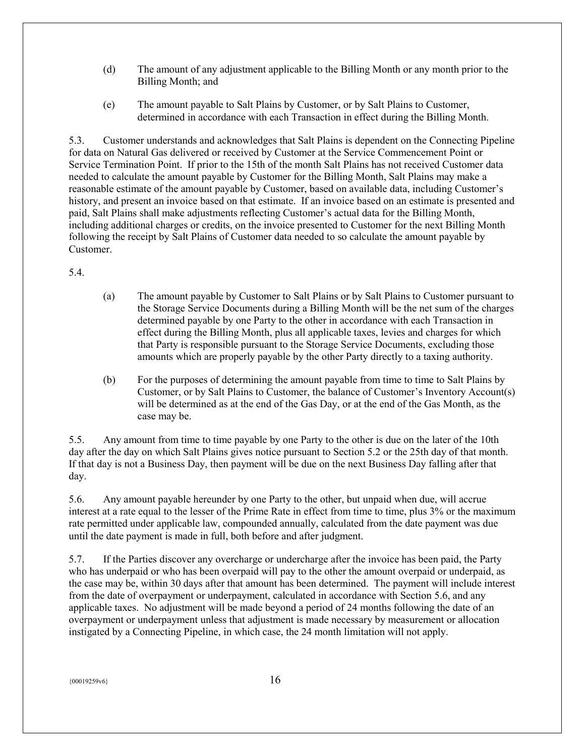- (d) The amount of any adjustment applicable to the Billing Month or any month prior to the Billing Month; and
- (e) The amount payable to Salt Plains by Customer, or by Salt Plains to Customer, determined in accordance with each Transaction in effect during the Billing Month.

5.3. Customer understands and acknowledges that Salt Plains is dependent on the Connecting Pipeline for data on Natural Gas delivered or received by Customer at the Service Commencement Point or Service Termination Point. If prior to the 15th of the month Salt Plains has not received Customer data needed to calculate the amount payable by Customer for the Billing Month, Salt Plains may make a reasonable estimate of the amount payable by Customer, based on available data, including Customer's history, and present an invoice based on that estimate. If an invoice based on an estimate is presented and paid, Salt Plains shall make adjustments reflecting Customer's actual data for the Billing Month, including additional charges or credits, on the invoice presented to Customer for the next Billing Month following the receipt by Salt Plains of Customer data needed to so calculate the amount payable by Customer.

5.4.

- (a) The amount payable by Customer to Salt Plains or by Salt Plains to Customer pursuant to the Storage Service Documents during a Billing Month will be the net sum of the charges determined payable by one Party to the other in accordance with each Transaction in effect during the Billing Month, plus all applicable taxes, levies and charges for which that Party is responsible pursuant to the Storage Service Documents, excluding those amounts which are properly payable by the other Party directly to a taxing authority.
- (b) For the purposes of determining the amount payable from time to time to Salt Plains by Customer, or by Salt Plains to Customer, the balance of Customer's Inventory Account(s) will be determined as at the end of the Gas Day, or at the end of the Gas Month, as the case may be.

5.5. Any amount from time to time payable by one Party to the other is due on the later of the 10th day after the day on which Salt Plains gives notice pursuant to Section 5.2 or the 25th day of that month. If that day is not a Business Day, then payment will be due on the next Business Day falling after that day.

5.6. Any amount payable hereunder by one Party to the other, but unpaid when due, will accrue interest at a rate equal to the lesser of the Prime Rate in effect from time to time, plus 3% or the maximum rate permitted under applicable law, compounded annually, calculated from the date payment was due until the date payment is made in full, both before and after judgment.

5.7. If the Parties discover any overcharge or undercharge after the invoice has been paid, the Party who has underpaid or who has been overpaid will pay to the other the amount overpaid or underpaid, as the case may be, within 30 days after that amount has been determined. The payment will include interest from the date of overpayment or underpayment, calculated in accordance with Section 5.6, and any applicable taxes. No adjustment will be made beyond a period of 24 months following the date of an overpayment or underpayment unless that adjustment is made necessary by measurement or allocation instigated by a Connecting Pipeline, in which case, the 24 month limitation will not apply.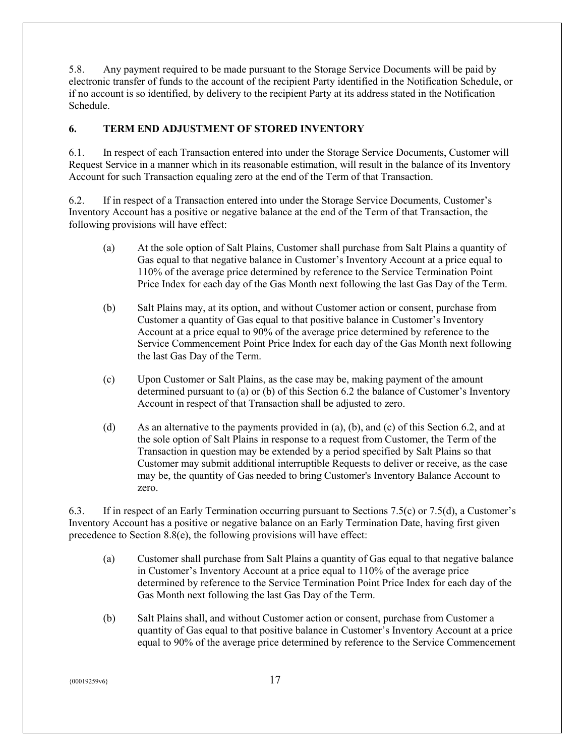5.8. Any payment required to be made pursuant to the Storage Service Documents will be paid by electronic transfer of funds to the account of the recipient Party identified in the Notification Schedule, or if no account is so identified, by delivery to the recipient Party at its address stated in the Notification Schedule.

# <span id="page-16-0"></span>**6. TERM END ADJUSTMENT OF STORED INVENTORY**

6.1. In respect of each Transaction entered into under the Storage Service Documents, Customer will Request Service in a manner which in its reasonable estimation, will result in the balance of its Inventory Account for such Transaction equaling zero at the end of the Term of that Transaction.

6.2. If in respect of a Transaction entered into under the Storage Service Documents, Customer's Inventory Account has a positive or negative balance at the end of the Term of that Transaction, the following provisions will have effect:

- (a) At the sole option of Salt Plains, Customer shall purchase from Salt Plains a quantity of Gas equal to that negative balance in Customer's Inventory Account at a price equal to 110% of the average price determined by reference to the Service Termination Point Price Index for each day of the Gas Month next following the last Gas Day of the Term.
- (b) Salt Plains may, at its option, and without Customer action or consent, purchase from Customer a quantity of Gas equal to that positive balance in Customer's Inventory Account at a price equal to 90% of the average price determined by reference to the Service Commencement Point Price Index for each day of the Gas Month next following the last Gas Day of the Term.
- (c) Upon Customer or Salt Plains, as the case may be, making payment of the amount determined pursuant to (a) or (b) of this Section 6.2 the balance of Customer's Inventory Account in respect of that Transaction shall be adjusted to zero.
- (d) As an alternative to the payments provided in (a), (b), and (c) of this Section 6.2, and at the sole option of Salt Plains in response to a request from Customer, the Term of the Transaction in question may be extended by a period specified by Salt Plains so that Customer may submit additional interruptible Requests to deliver or receive, as the case may be, the quantity of Gas needed to bring Customer's Inventory Balance Account to zero.

6.3. If in respect of an Early Termination occurring pursuant to Sections 7.5(c) or 7.5(d), a Customer's Inventory Account has a positive or negative balance on an Early Termination Date, having first given precedence to Section 8.8(e), the following provisions will have effect:

- (a) Customer shall purchase from Salt Plains a quantity of Gas equal to that negative balance in Customer's Inventory Account at a price equal to 110% of the average price determined by reference to the Service Termination Point Price Index for each day of the Gas Month next following the last Gas Day of the Term.
- (b) Salt Plains shall, and without Customer action or consent, purchase from Customer a quantity of Gas equal to that positive balance in Customer's Inventory Account at a price equal to 90% of the average price determined by reference to the Service Commencement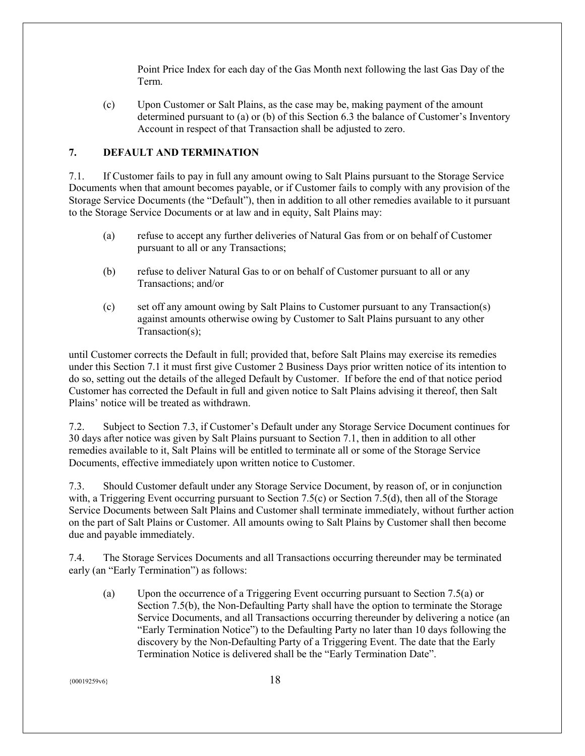Point Price Index for each day of the Gas Month next following the last Gas Day of the Term.

(c) Upon Customer or Salt Plains, as the case may be, making payment of the amount determined pursuant to (a) or (b) of this Section 6.3 the balance of Customer's Inventory Account in respect of that Transaction shall be adjusted to zero.

# <span id="page-17-0"></span>**7. DEFAULT AND TERMINATION**

7.1. If Customer fails to pay in full any amount owing to Salt Plains pursuant to the Storage Service Documents when that amount becomes payable, or if Customer fails to comply with any provision of the Storage Service Documents (the "Default"), then in addition to all other remedies available to it pursuant to the Storage Service Documents or at law and in equity, Salt Plains may:

- (a) refuse to accept any further deliveries of Natural Gas from or on behalf of Customer pursuant to all or any Transactions;
- (b) refuse to deliver Natural Gas to or on behalf of Customer pursuant to all or any Transactions; and/or
- (c) set off any amount owing by Salt Plains to Customer pursuant to any Transaction(s) against amounts otherwise owing by Customer to Salt Plains pursuant to any other Transaction(s);

until Customer corrects the Default in full; provided that, before Salt Plains may exercise its remedies under this Section 7.1 it must first give Customer 2 Business Days prior written notice of its intention to do so, setting out the details of the alleged Default by Customer. If before the end of that notice period Customer has corrected the Default in full and given notice to Salt Plains advising it thereof, then Salt Plains' notice will be treated as withdrawn.

7.2. Subject to Section 7.3, if Customer's Default under any Storage Service Document continues for 30 days after notice was given by Salt Plains pursuant to Section 7.1, then in addition to all other remedies available to it, Salt Plains will be entitled to terminate all or some of the Storage Service Documents, effective immediately upon written notice to Customer.

7.3. Should Customer default under any Storage Service Document, by reason of, or in conjunction with, a Triggering Event occurring pursuant to Section 7.5(c) or Section 7.5(d), then all of the Storage Service Documents between Salt Plains and Customer shall terminate immediately, without further action on the part of Salt Plains or Customer. All amounts owing to Salt Plains by Customer shall then become due and payable immediately.

7.4. The Storage Services Documents and all Transactions occurring thereunder may be terminated early (an "Early Termination") as follows:

(a) Upon the occurrence of a Triggering Event occurring pursuant to Section 7.5(a) or Section 7.5(b), the Non-Defaulting Party shall have the option to terminate the Storage Service Documents, and all Transactions occurring thereunder by delivering a notice (an "Early Termination Notice") to the Defaulting Party no later than 10 days following the discovery by the Non-Defaulting Party of a Triggering Event. The date that the Early Termination Notice is delivered shall be the "Early Termination Date".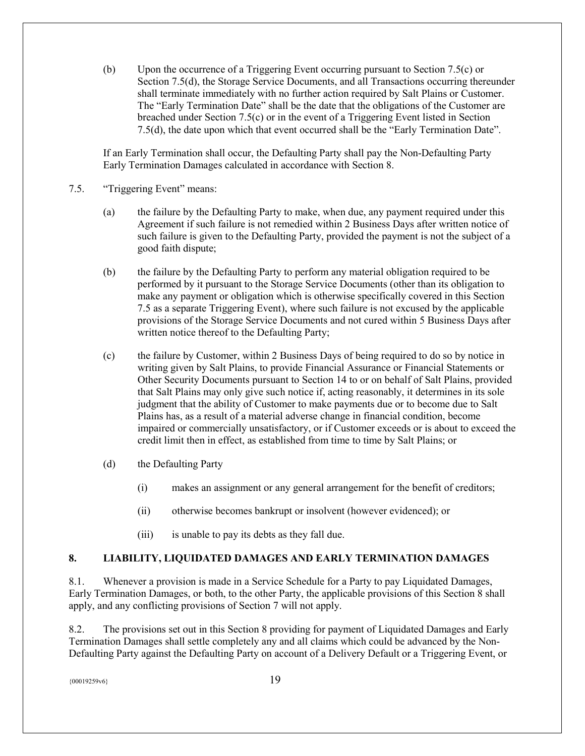(b) Upon the occurrence of a Triggering Event occurring pursuant to Section 7.5(c) or Section 7.5(d), the Storage Service Documents, and all Transactions occurring thereunder shall terminate immediately with no further action required by Salt Plains or Customer. The "Early Termination Date" shall be the date that the obligations of the Customer are breached under Section 7.5(c) or in the event of a Triggering Event listed in Section 7.5(d), the date upon which that event occurred shall be the "Early Termination Date".

If an Early Termination shall occur, the Defaulting Party shall pay the Non-Defaulting Party Early Termination Damages calculated in accordance with Section 8.

- 7.5. "Triggering Event" means:
	- (a) the failure by the Defaulting Party to make, when due, any payment required under this Agreement if such failure is not remedied within 2 Business Days after written notice of such failure is given to the Defaulting Party, provided the payment is not the subject of a good faith dispute;
	- (b) the failure by the Defaulting Party to perform any material obligation required to be performed by it pursuant to the Storage Service Documents (other than its obligation to make any payment or obligation which is otherwise specifically covered in this Section 7.5 as a separate Triggering Event), where such failure is not excused by the applicable provisions of the Storage Service Documents and not cured within 5 Business Days after written notice thereof to the Defaulting Party;
	- (c) the failure by Customer, within 2 Business Days of being required to do so by notice in writing given by Salt Plains, to provide Financial Assurance or Financial Statements or Other Security Documents pursuant to Section 14 to or on behalf of Salt Plains, provided that Salt Plains may only give such notice if, acting reasonably, it determines in its sole judgment that the ability of Customer to make payments due or to become due to Salt Plains has, as a result of a material adverse change in financial condition, become impaired or commercially unsatisfactory, or if Customer exceeds or is about to exceed the credit limit then in effect, as established from time to time by Salt Plains; or
	- (d) the Defaulting Party
		- (i) makes an assignment or any general arrangement for the benefit of creditors;
		- (ii) otherwise becomes bankrupt or insolvent (however evidenced); or
		- (iii) is unable to pay its debts as they fall due.

#### <span id="page-18-0"></span>**8. LIABILITY, LIQUIDATED DAMAGES AND EARLY TERMINATION DAMAGES**

8.1. Whenever a provision is made in a Service Schedule for a Party to pay Liquidated Damages, Early Termination Damages, or both, to the other Party, the applicable provisions of this Section 8 shall apply, and any conflicting provisions of Section 7 will not apply.

8.2. The provisions set out in this Section 8 providing for payment of Liquidated Damages and Early Termination Damages shall settle completely any and all claims which could be advanced by the Non-Defaulting Party against the Defaulting Party on account of a Delivery Default or a Triggering Event, or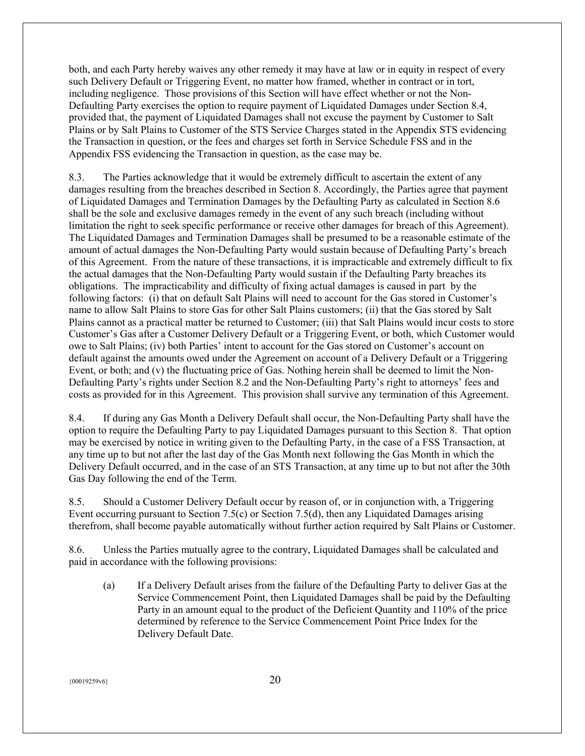both, and each Party hereby waives any other remedy it may have at law or in equity in respect of every such Delivery Default or Triggering Event, no matter how framed, whether in contract or in tort, including negligence. Those provisions of this Section will have effect whether or not the Non-Defaulting Party exercises the option to require payment of Liquidated Damages under Section 8.4, provided that, the payment of Liquidated Damages shall not excuse the payment by Customer to Salt Plains or by Salt Plains to Customer of the STS Service Charges stated in the Appendix STS evidencing the Transaction in question, or the fees and charges set forth in Service Schedule FSS and in the Appendix FSS evidencing the Transaction in question, as the case may be.

8.3. The Parties acknowledge that it would be extremely difficult to ascertain the extent of any damages resulting from the breaches described in Section 8. Accordingly, the Parties agree that payment of Liquidated Damages and Termination Damages by the Defaulting Party as calculated in Section 8.6 shall be the sole and exclusive damages remedy in the event of any such breach (including without limitation the right to seek specific performance or receive other damages for breach of this Agreement). The Liquidated Damages and Termination Damages shall be presumed to be a reasonable estimate of the amount of actual damages the Non-Defaulting Party would sustain because of Defaulting Party's breach of this Agreement. From the nature of these transactions, it is impracticable and extremely difficult to fix the actual damages that the Non-Defaulting Party would sustain if the Defaulting Party breaches its obligations. The impracticability and difficulty of fixing actual damages is caused in part by the following factors: (i) that on default Salt Plains will need to account for the Gas stored in Customer's name to allow Salt Plains to store Gas for other Salt Plains customers; (ii) that the Gas stored by Salt Plains cannot as a practical matter be returned to Customer; (iii) that Salt Plains would incur costs to store Customer's Gas after a Customer Delivery Default or a Triggering Event, or both, which Customer would owe to Salt Plains; (iv) both Parties' intent to account for the Gas stored on Customer's account on default against the amounts owed under the Agreement on account of a Delivery Default or a Triggering Event, or both; and (v) the fluctuating price of Gas. Nothing herein shall be deemed to limit the Non-Defaulting Party's rights under Section 8.2 and the Non-Defaulting Party's right to attorneys' fees and costs as provided for in this Agreement. This provision shall survive any termination of this Agreement.

8.4. If during any Gas Month a Delivery Default shall occur, the Non-Defaulting Party shall have the option to require the Defaulting Party to pay Liquidated Damages pursuant to this Section 8. That option may be exercised by notice in writing given to the Defaulting Party, in the case of a FSS Transaction, at any time up to but not after the last day of the Gas Month next following the Gas Month in which the Delivery Default occurred, and in the case of an STS Transaction, at any time up to but not after the 30th Gas Day following the end of the Term.

8.5. Should a Customer Delivery Default occur by reason of, or in conjunction with, a Triggering Event occurring pursuant to Section 7.5(c) or Section 7.5(d), then any Liquidated Damages arising therefrom, shall become payable automatically without further action required by Salt Plains or Customer.

8.6. Unless the Parties mutually agree to the contrary, Liquidated Damages shall be calculated and paid in accordance with the following provisions:

(a) If a Delivery Default arises from the failure of the Defaulting Party to deliver Gas at the Service Commencement Point, then Liquidated Damages shall be paid by the Defaulting Party in an amount equal to the product of the Deficient Quantity and 110% of the price determined by reference to the Service Commencement Point Price Index for the Delivery Default Date.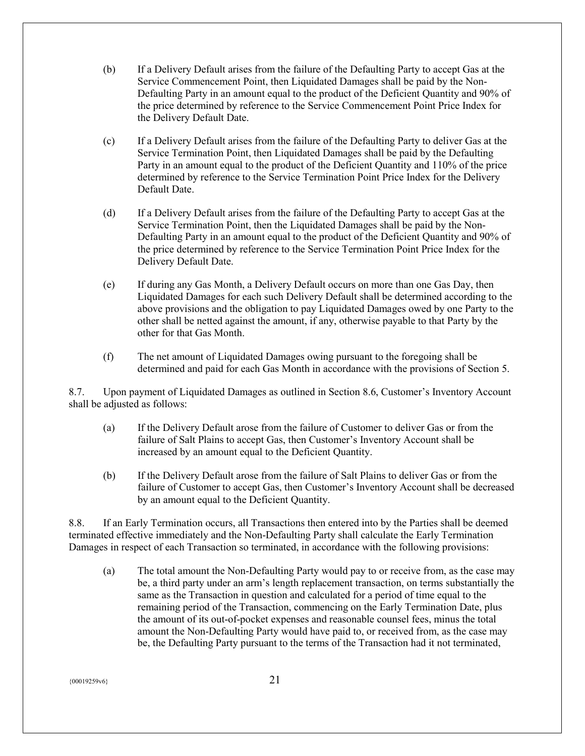- (b) If a Delivery Default arises from the failure of the Defaulting Party to accept Gas at the Service Commencement Point, then Liquidated Damages shall be paid by the Non-Defaulting Party in an amount equal to the product of the Deficient Quantity and 90% of the price determined by reference to the Service Commencement Point Price Index for the Delivery Default Date.
- (c) If a Delivery Default arises from the failure of the Defaulting Party to deliver Gas at the Service Termination Point, then Liquidated Damages shall be paid by the Defaulting Party in an amount equal to the product of the Deficient Quantity and 110% of the price determined by reference to the Service Termination Point Price Index for the Delivery Default Date.
- (d) If a Delivery Default arises from the failure of the Defaulting Party to accept Gas at the Service Termination Point, then the Liquidated Damages shall be paid by the Non-Defaulting Party in an amount equal to the product of the Deficient Quantity and 90% of the price determined by reference to the Service Termination Point Price Index for the Delivery Default Date.
- (e) If during any Gas Month, a Delivery Default occurs on more than one Gas Day, then Liquidated Damages for each such Delivery Default shall be determined according to the above provisions and the obligation to pay Liquidated Damages owed by one Party to the other shall be netted against the amount, if any, otherwise payable to that Party by the other for that Gas Month.
- (f) The net amount of Liquidated Damages owing pursuant to the foregoing shall be determined and paid for each Gas Month in accordance with the provisions of Section 5.

8.7. Upon payment of Liquidated Damages as outlined in Section 8.6, Customer's Inventory Account shall be adjusted as follows:

- (a) If the Delivery Default arose from the failure of Customer to deliver Gas or from the failure of Salt Plains to accept Gas, then Customer's Inventory Account shall be increased by an amount equal to the Deficient Quantity.
- (b) If the Delivery Default arose from the failure of Salt Plains to deliver Gas or from the failure of Customer to accept Gas, then Customer's Inventory Account shall be decreased by an amount equal to the Deficient Quantity.

8.8. If an Early Termination occurs, all Transactions then entered into by the Parties shall be deemed terminated effective immediately and the Non-Defaulting Party shall calculate the Early Termination Damages in respect of each Transaction so terminated, in accordance with the following provisions:

(a) The total amount the Non-Defaulting Party would pay to or receive from, as the case may be, a third party under an arm's length replacement transaction, on terms substantially the same as the Transaction in question and calculated for a period of time equal to the remaining period of the Transaction, commencing on the Early Termination Date, plus the amount of its out-of-pocket expenses and reasonable counsel fees, minus the total amount the Non-Defaulting Party would have paid to, or received from, as the case may be, the Defaulting Party pursuant to the terms of the Transaction had it not terminated,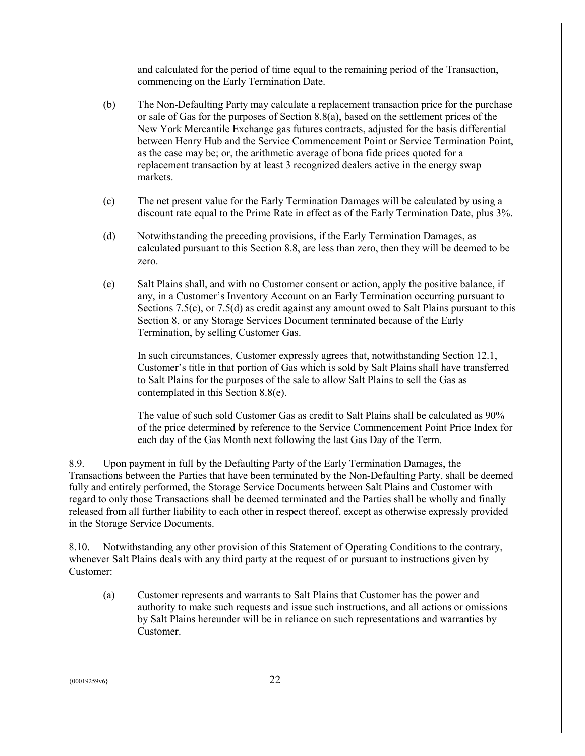and calculated for the period of time equal to the remaining period of the Transaction, commencing on the Early Termination Date.

- (b) The Non-Defaulting Party may calculate a replacement transaction price for the purchase or sale of Gas for the purposes of Section 8.8(a), based on the settlement prices of the New York Mercantile Exchange gas futures contracts, adjusted for the basis differential between Henry Hub and the Service Commencement Point or Service Termination Point, as the case may be; or, the arithmetic average of bona fide prices quoted for a replacement transaction by at least 3 recognized dealers active in the energy swap markets.
- (c) The net present value for the Early Termination Damages will be calculated by using a discount rate equal to the Prime Rate in effect as of the Early Termination Date, plus 3%.
- (d) Notwithstanding the preceding provisions, if the Early Termination Damages, as calculated pursuant to this Section 8.8, are less than zero, then they will be deemed to be zero.
- (e) Salt Plains shall, and with no Customer consent or action, apply the positive balance, if any, in a Customer's Inventory Account on an Early Termination occurring pursuant to Sections 7.5(c), or 7.5(d) as credit against any amount owed to Salt Plains pursuant to this Section 8, or any Storage Services Document terminated because of the Early Termination, by selling Customer Gas.

In such circumstances, Customer expressly agrees that, notwithstanding Section 12.1, Customer's title in that portion of Gas which is sold by Salt Plains shall have transferred to Salt Plains for the purposes of the sale to allow Salt Plains to sell the Gas as contemplated in this Section 8.8(e).

The value of such sold Customer Gas as credit to Salt Plains shall be calculated as 90% of the price determined by reference to the Service Commencement Point Price Index for each day of the Gas Month next following the last Gas Day of the Term.

8.9. Upon payment in full by the Defaulting Party of the Early Termination Damages, the Transactions between the Parties that have been terminated by the Non-Defaulting Party, shall be deemed fully and entirely performed, the Storage Service Documents between Salt Plains and Customer with regard to only those Transactions shall be deemed terminated and the Parties shall be wholly and finally released from all further liability to each other in respect thereof, except as otherwise expressly provided in the Storage Service Documents.

8.10. Notwithstanding any other provision of this Statement of Operating Conditions to the contrary, whenever Salt Plains deals with any third party at the request of or pursuant to instructions given by Customer:

(a) Customer represents and warrants to Salt Plains that Customer has the power and authority to make such requests and issue such instructions, and all actions or omissions by Salt Plains hereunder will be in reliance on such representations and warranties by Customer.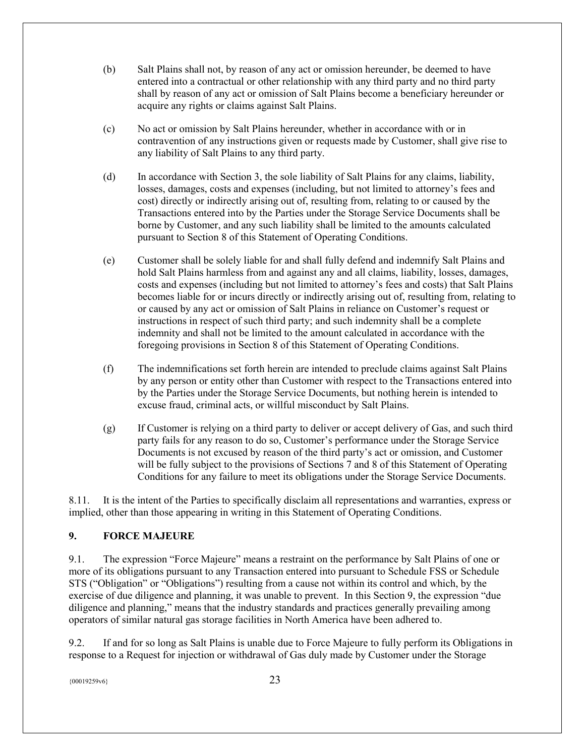- (b) Salt Plains shall not, by reason of any act or omission hereunder, be deemed to have entered into a contractual or other relationship with any third party and no third party shall by reason of any act or omission of Salt Plains become a beneficiary hereunder or acquire any rights or claims against Salt Plains.
- (c) No act or omission by Salt Plains hereunder, whether in accordance with or in contravention of any instructions given or requests made by Customer, shall give rise to any liability of Salt Plains to any third party.
- (d) In accordance with Section 3, the sole liability of Salt Plains for any claims, liability, losses, damages, costs and expenses (including, but not limited to attorney's fees and cost) directly or indirectly arising out of, resulting from, relating to or caused by the Transactions entered into by the Parties under the Storage Service Documents shall be borne by Customer, and any such liability shall be limited to the amounts calculated pursuant to Section 8 of this Statement of Operating Conditions.
- (e) Customer shall be solely liable for and shall fully defend and indemnify Salt Plains and hold Salt Plains harmless from and against any and all claims, liability, losses, damages, costs and expenses (including but not limited to attorney's fees and costs) that Salt Plains becomes liable for or incurs directly or indirectly arising out of, resulting from, relating to or caused by any act or omission of Salt Plains in reliance on Customer's request or instructions in respect of such third party; and such indemnity shall be a complete indemnity and shall not be limited to the amount calculated in accordance with the foregoing provisions in Section 8 of this Statement of Operating Conditions.
- (f) The indemnifications set forth herein are intended to preclude claims against Salt Plains by any person or entity other than Customer with respect to the Transactions entered into by the Parties under the Storage Service Documents, but nothing herein is intended to excuse fraud, criminal acts, or willful misconduct by Salt Plains.
- (g) If Customer is relying on a third party to deliver or accept delivery of Gas, and such third party fails for any reason to do so, Customer's performance under the Storage Service Documents is not excused by reason of the third party's act or omission, and Customer will be fully subject to the provisions of Sections 7 and 8 of this Statement of Operating Conditions for any failure to meet its obligations under the Storage Service Documents.

8.11. It is the intent of the Parties to specifically disclaim all representations and warranties, express or implied, other than those appearing in writing in this Statement of Operating Conditions.

# <span id="page-22-0"></span>**9. FORCE MAJEURE**

9.1. The expression "Force Majeure" means a restraint on the performance by Salt Plains of one or more of its obligations pursuant to any Transaction entered into pursuant to Schedule FSS or Schedule STS ("Obligation" or "Obligations") resulting from a cause not within its control and which, by the exercise of due diligence and planning, it was unable to prevent. In this Section 9, the expression "due diligence and planning," means that the industry standards and practices generally prevailing among operators of similar natural gas storage facilities in North America have been adhered to.

9.2. If and for so long as Salt Plains is unable due to Force Majeure to fully perform its Obligations in response to a Request for injection or withdrawal of Gas duly made by Customer under the Storage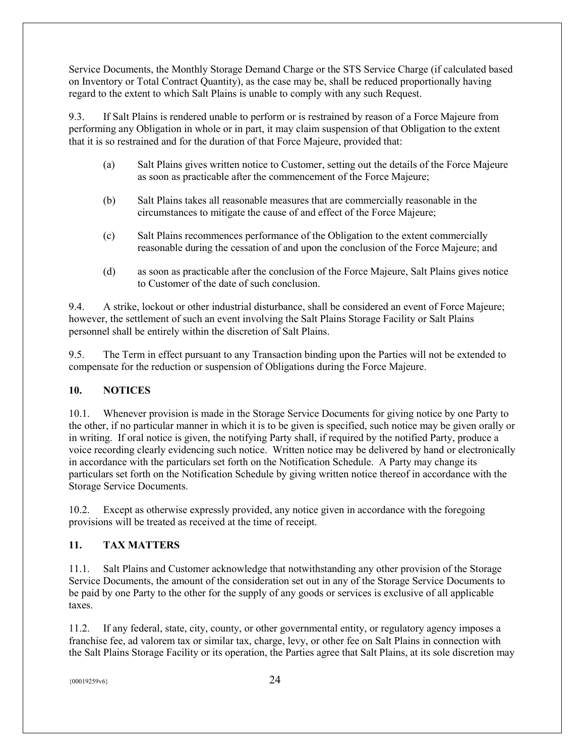Service Documents, the Monthly Storage Demand Charge or the STS Service Charge (if calculated based on Inventory or Total Contract Quantity), as the case may be, shall be reduced proportionally having regard to the extent to which Salt Plains is unable to comply with any such Request.

9.3. If Salt Plains is rendered unable to perform or is restrained by reason of a Force Majeure from performing any Obligation in whole or in part, it may claim suspension of that Obligation to the extent that it is so restrained and for the duration of that Force Majeure, provided that:

- (a) Salt Plains gives written notice to Customer, setting out the details of the Force Majeure as soon as practicable after the commencement of the Force Majeure;
- (b) Salt Plains takes all reasonable measures that are commercially reasonable in the circumstances to mitigate the cause of and effect of the Force Majeure;
- (c) Salt Plains recommences performance of the Obligation to the extent commercially reasonable during the cessation of and upon the conclusion of the Force Majeure; and
- (d) as soon as practicable after the conclusion of the Force Majeure, Salt Plains gives notice to Customer of the date of such conclusion.

9.4. A strike, lockout or other industrial disturbance, shall be considered an event of Force Majeure; however, the settlement of such an event involving the Salt Plains Storage Facility or Salt Plains personnel shall be entirely within the discretion of Salt Plains.

9.5. The Term in effect pursuant to any Transaction binding upon the Parties will not be extended to compensate for the reduction or suspension of Obligations during the Force Majeure.

# <span id="page-23-0"></span>**10. NOTICES**

10.1. Whenever provision is made in the Storage Service Documents for giving notice by one Party to the other, if no particular manner in which it is to be given is specified, such notice may be given orally or in writing. If oral notice is given, the notifying Party shall, if required by the notified Party, produce a voice recording clearly evidencing such notice. Written notice may be delivered by hand or electronically in accordance with the particulars set forth on the Notification Schedule. A Party may change its particulars set forth on the Notification Schedule by giving written notice thereof in accordance with the Storage Service Documents.

10.2. Except as otherwise expressly provided, any notice given in accordance with the foregoing provisions will be treated as received at the time of receipt.

# <span id="page-23-1"></span>**11. TAX MATTERS**

11.1. Salt Plains and Customer acknowledge that notwithstanding any other provision of the Storage Service Documents, the amount of the consideration set out in any of the Storage Service Documents to be paid by one Party to the other for the supply of any goods or services is exclusive of all applicable taxes.

11.2. If any federal, state, city, county, or other governmental entity, or regulatory agency imposes a franchise fee, ad valorem tax or similar tax, charge, levy, or other fee on Salt Plains in connection with the Salt Plains Storage Facility or its operation, the Parties agree that Salt Plains, at its sole discretion may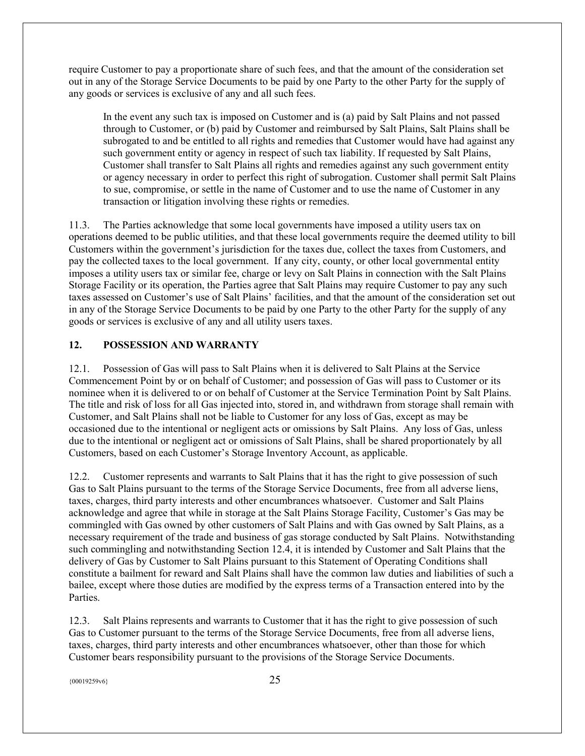require Customer to pay a proportionate share of such fees, and that the amount of the consideration set out in any of the Storage Service Documents to be paid by one Party to the other Party for the supply of any goods or services is exclusive of any and all such fees.

In the event any such tax is imposed on Customer and is (a) paid by Salt Plains and not passed through to Customer, or (b) paid by Customer and reimbursed by Salt Plains, Salt Plains shall be subrogated to and be entitled to all rights and remedies that Customer would have had against any such government entity or agency in respect of such tax liability. If requested by Salt Plains, Customer shall transfer to Salt Plains all rights and remedies against any such government entity or agency necessary in order to perfect this right of subrogation. Customer shall permit Salt Plains to sue, compromise, or settle in the name of Customer and to use the name of Customer in any transaction or litigation involving these rights or remedies.

11.3. The Parties acknowledge that some local governments have imposed a utility users tax on operations deemed to be public utilities, and that these local governments require the deemed utility to bill Customers within the government's jurisdiction for the taxes due, collect the taxes from Customers, and pay the collected taxes to the local government. If any city, county, or other local governmental entity imposes a utility users tax or similar fee, charge or levy on Salt Plains in connection with the Salt Plains Storage Facility or its operation, the Parties agree that Salt Plains may require Customer to pay any such taxes assessed on Customer's use of Salt Plains' facilities, and that the amount of the consideration set out in any of the Storage Service Documents to be paid by one Party to the other Party for the supply of any goods or services is exclusive of any and all utility users taxes.

# <span id="page-24-0"></span>**12. POSSESSION AND WARRANTY**

12.1. Possession of Gas will pass to Salt Plains when it is delivered to Salt Plains at the Service Commencement Point by or on behalf of Customer; and possession of Gas will pass to Customer or its nominee when it is delivered to or on behalf of Customer at the Service Termination Point by Salt Plains. The title and risk of loss for all Gas injected into, stored in, and withdrawn from storage shall remain with Customer, and Salt Plains shall not be liable to Customer for any loss of Gas, except as may be occasioned due to the intentional or negligent acts or omissions by Salt Plains. Any loss of Gas, unless due to the intentional or negligent act or omissions of Salt Plains, shall be shared proportionately by all Customers, based on each Customer's Storage Inventory Account, as applicable.

12.2. Customer represents and warrants to Salt Plains that it has the right to give possession of such Gas to Salt Plains pursuant to the terms of the Storage Service Documents, free from all adverse liens, taxes, charges, third party interests and other encumbrances whatsoever. Customer and Salt Plains acknowledge and agree that while in storage at the Salt Plains Storage Facility, Customer's Gas may be commingled with Gas owned by other customers of Salt Plains and with Gas owned by Salt Plains, as a necessary requirement of the trade and business of gas storage conducted by Salt Plains. Notwithstanding such commingling and notwithstanding Section 12.4, it is intended by Customer and Salt Plains that the delivery of Gas by Customer to Salt Plains pursuant to this Statement of Operating Conditions shall constitute a bailment for reward and Salt Plains shall have the common law duties and liabilities of such a bailee, except where those duties are modified by the express terms of a Transaction entered into by the Parties.

12.3. Salt Plains represents and warrants to Customer that it has the right to give possession of such Gas to Customer pursuant to the terms of the Storage Service Documents, free from all adverse liens, taxes, charges, third party interests and other encumbrances whatsoever, other than those for which Customer bears responsibility pursuant to the provisions of the Storage Service Documents.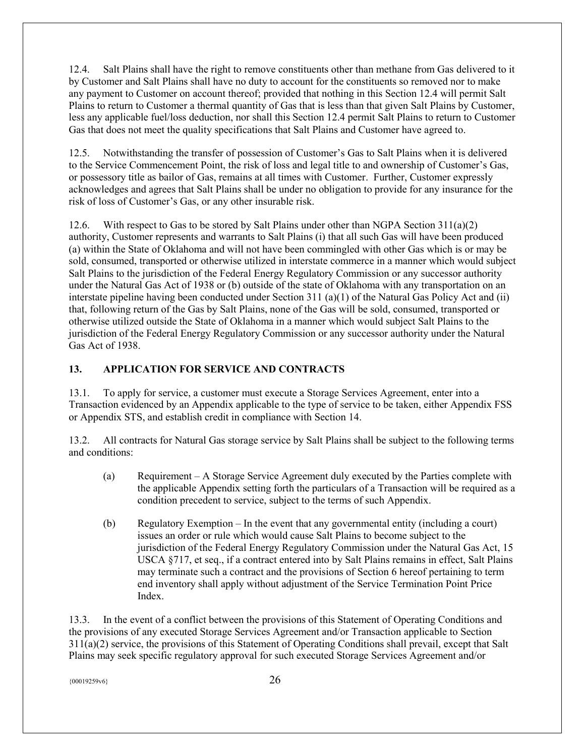12.4. Salt Plains shall have the right to remove constituents other than methane from Gas delivered to it by Customer and Salt Plains shall have no duty to account for the constituents so removed nor to make any payment to Customer on account thereof; provided that nothing in this Section 12.4 will permit Salt Plains to return to Customer a thermal quantity of Gas that is less than that given Salt Plains by Customer, less any applicable fuel/loss deduction, nor shall this Section 12.4 permit Salt Plains to return to Customer Gas that does not meet the quality specifications that Salt Plains and Customer have agreed to.

12.5. Notwithstanding the transfer of possession of Customer's Gas to Salt Plains when it is delivered to the Service Commencement Point, the risk of loss and legal title to and ownership of Customer's Gas, or possessory title as bailor of Gas, remains at all times with Customer. Further, Customer expressly acknowledges and agrees that Salt Plains shall be under no obligation to provide for any insurance for the risk of loss of Customer's Gas, or any other insurable risk.

12.6. With respect to Gas to be stored by Salt Plains under other than NGPA Section  $311(a)(2)$ authority, Customer represents and warrants to Salt Plains (i) that all such Gas will have been produced (a) within the State of Oklahoma and will not have been commingled with other Gas which is or may be sold, consumed, transported or otherwise utilized in interstate commerce in a manner which would subject Salt Plains to the jurisdiction of the Federal Energy Regulatory Commission or any successor authority under the Natural Gas Act of 1938 or (b) outside of the state of Oklahoma with any transportation on an interstate pipeline having been conducted under Section 311 (a)(1) of the Natural Gas Policy Act and (ii) that, following return of the Gas by Salt Plains, none of the Gas will be sold, consumed, transported or otherwise utilized outside the State of Oklahoma in a manner which would subject Salt Plains to the jurisdiction of the Federal Energy Regulatory Commission or any successor authority under the Natural Gas Act of 1938.

# <span id="page-25-0"></span>**13. APPLICATION FOR SERVICE AND CONTRACTS**

13.1. To apply for service, a customer must execute a Storage Services Agreement, enter into a Transaction evidenced by an Appendix applicable to the type of service to be taken, either Appendix FSS or Appendix STS, and establish credit in compliance with Section 14.

13.2. All contracts for Natural Gas storage service by Salt Plains shall be subject to the following terms and conditions:

- (a) Requirement A Storage Service Agreement duly executed by the Parties complete with the applicable Appendix setting forth the particulars of a Transaction will be required as a condition precedent to service, subject to the terms of such Appendix.
- (b) Regulatory Exemption In the event that any governmental entity (including a court) issues an order or rule which would cause Salt Plains to become subject to the jurisdiction of the Federal Energy Regulatory Commission under the Natural Gas Act, 15 USCA §717, et seq., if a contract entered into by Salt Plains remains in effect, Salt Plains may terminate such a contract and the provisions of Section 6 hereof pertaining to term end inventory shall apply without adjustment of the Service Termination Point Price Index.

13.3. In the event of a conflict between the provisions of this Statement of Operating Conditions and the provisions of any executed Storage Services Agreement and/or Transaction applicable to Section 311(a)(2) service, the provisions of this Statement of Operating Conditions shall prevail, except that Salt Plains may seek specific regulatory approval for such executed Storage Services Agreement and/or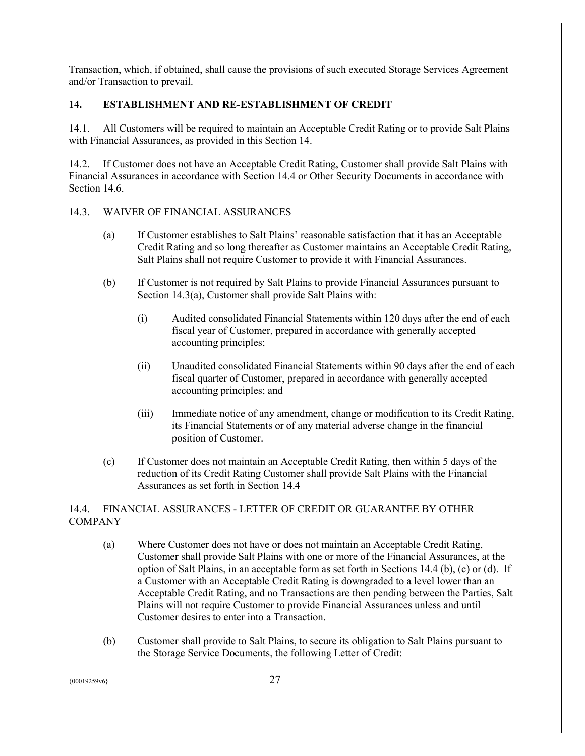Transaction, which, if obtained, shall cause the provisions of such executed Storage Services Agreement and/or Transaction to prevail.

# <span id="page-26-0"></span>**14. ESTABLISHMENT AND RE-ESTABLISHMENT OF CREDIT**

14.1. All Customers will be required to maintain an Acceptable Credit Rating or to provide Salt Plains with Financial Assurances, as provided in this Section 14.

14.2. If Customer does not have an Acceptable Credit Rating, Customer shall provide Salt Plains with Financial Assurances in accordance with Section 14.4 or Other Security Documents in accordance with Section 14.6.

# 14.3. WAIVER OF FINANCIAL ASSURANCES

- (a) If Customer establishes to Salt Plains' reasonable satisfaction that it has an Acceptable Credit Rating and so long thereafter as Customer maintains an Acceptable Credit Rating, Salt Plains shall not require Customer to provide it with Financial Assurances.
- (b) If Customer is not required by Salt Plains to provide Financial Assurances pursuant to Section 14.3(a), Customer shall provide Salt Plains with:
	- (i) Audited consolidated Financial Statements within 120 days after the end of each fiscal year of Customer, prepared in accordance with generally accepted accounting principles;
	- (ii) Unaudited consolidated Financial Statements within 90 days after the end of each fiscal quarter of Customer, prepared in accordance with generally accepted accounting principles; and
	- (iii) Immediate notice of any amendment, change or modification to its Credit Rating, its Financial Statements or of any material adverse change in the financial position of Customer.
- (c) If Customer does not maintain an Acceptable Credit Rating, then within 5 days of the reduction of its Credit Rating Customer shall provide Salt Plains with the Financial Assurances as set forth in Section 14.4

# 14.4. FINANCIAL ASSURANCES - LETTER OF CREDIT OR GUARANTEE BY OTHER **COMPANY**

- (a) Where Customer does not have or does not maintain an Acceptable Credit Rating, Customer shall provide Salt Plains with one or more of the Financial Assurances, at the option of Salt Plains, in an acceptable form as set forth in Sections 14.4 (b), (c) or (d). If a Customer with an Acceptable Credit Rating is downgraded to a level lower than an Acceptable Credit Rating, and no Transactions are then pending between the Parties, Salt Plains will not require Customer to provide Financial Assurances unless and until Customer desires to enter into a Transaction.
- (b) Customer shall provide to Salt Plains, to secure its obligation to Salt Plains pursuant to the Storage Service Documents, the following Letter of Credit: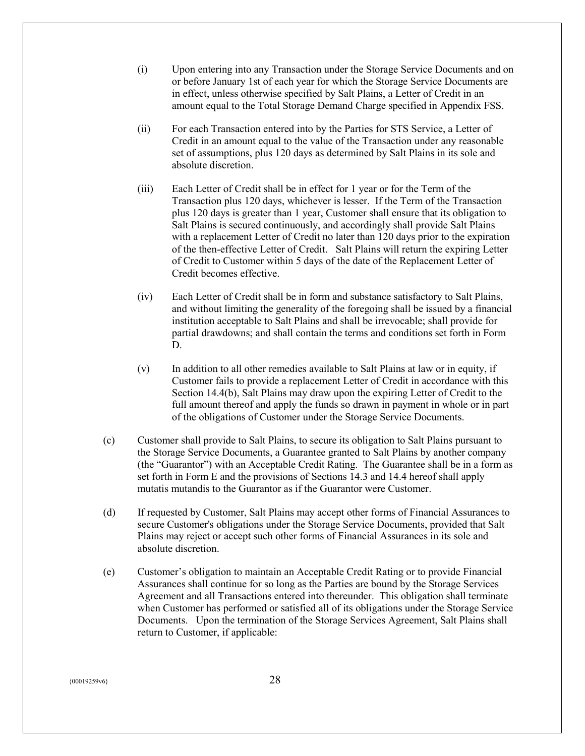- (i) Upon entering into any Transaction under the Storage Service Documents and on or before January 1st of each year for which the Storage Service Documents are in effect, unless otherwise specified by Salt Plains, a Letter of Credit in an amount equal to the Total Storage Demand Charge specified in Appendix FSS.
- (ii) For each Transaction entered into by the Parties for STS Service, a Letter of Credit in an amount equal to the value of the Transaction under any reasonable set of assumptions, plus 120 days as determined by Salt Plains in its sole and absolute discretion.
- (iii) Each Letter of Credit shall be in effect for 1 year or for the Term of the Transaction plus 120 days, whichever is lesser. If the Term of the Transaction plus 120 days is greater than 1 year, Customer shall ensure that its obligation to Salt Plains is secured continuously, and accordingly shall provide Salt Plains with a replacement Letter of Credit no later than 120 days prior to the expiration of the then-effective Letter of Credit. Salt Plains will return the expiring Letter of Credit to Customer within 5 days of the date of the Replacement Letter of Credit becomes effective.
- (iv) Each Letter of Credit shall be in form and substance satisfactory to Salt Plains, and without limiting the generality of the foregoing shall be issued by a financial institution acceptable to Salt Plains and shall be irrevocable; shall provide for partial drawdowns; and shall contain the terms and conditions set forth in Form D.
- (v) In addition to all other remedies available to Salt Plains at law or in equity, if Customer fails to provide a replacement Letter of Credit in accordance with this Section 14.4(b), Salt Plains may draw upon the expiring Letter of Credit to the full amount thereof and apply the funds so drawn in payment in whole or in part of the obligations of Customer under the Storage Service Documents.
- (c) Customer shall provide to Salt Plains, to secure its obligation to Salt Plains pursuant to the Storage Service Documents, a Guarantee granted to Salt Plains by another company (the "Guarantor") with an Acceptable Credit Rating. The Guarantee shall be in a form as set forth in Form E and the provisions of Sections 14.3 and 14.4 hereof shall apply mutatis mutandis to the Guarantor as if the Guarantor were Customer.
- (d) If requested by Customer, Salt Plains may accept other forms of Financial Assurances to secure Customer's obligations under the Storage Service Documents, provided that Salt Plains may reject or accept such other forms of Financial Assurances in its sole and absolute discretion.
- (e) Customer's obligation to maintain an Acceptable Credit Rating or to provide Financial Assurances shall continue for so long as the Parties are bound by the Storage Services Agreement and all Transactions entered into thereunder. This obligation shall terminate when Customer has performed or satisfied all of its obligations under the Storage Service Documents. Upon the termination of the Storage Services Agreement, Salt Plains shall return to Customer, if applicable: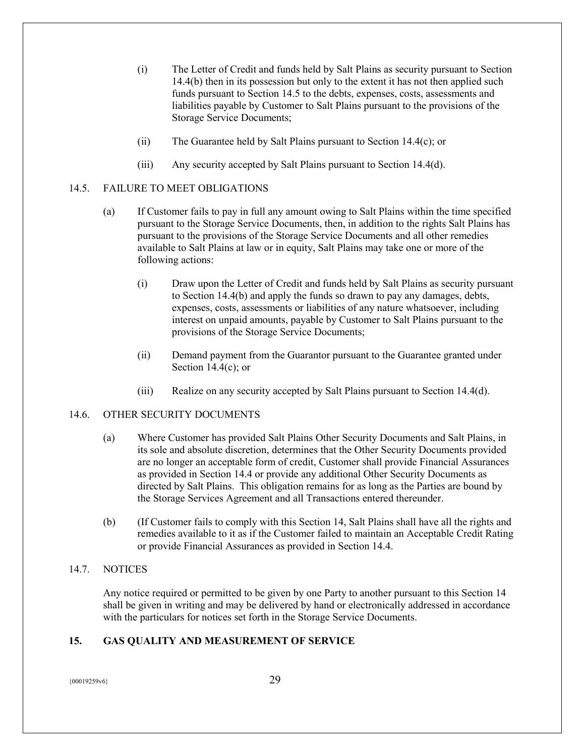- (i) The Letter of Credit and funds held by Salt Plains as security pursuant to Section 14.4(b) then in its possession but only to the extent it has not then applied such funds pursuant to Section 14.5 to the debts, expenses, costs, assessments and liabilities payable by Customer to Salt Plains pursuant to the provisions of the Storage Service Documents;
- (ii) The Guarantee held by Salt Plains pursuant to Section 14.4(c); or
- (iii) Any security accepted by Salt Plains pursuant to Section 14.4(d).

# 14.5. FAILURE TO MEET OBLIGATIONS

- (a) If Customer fails to pay in full any amount owing to Salt Plains within the time specified pursuant to the Storage Service Documents, then, in addition to the rights Salt Plains has pursuant to the provisions of the Storage Service Documents and all other remedies available to Salt Plains at law or in equity, Salt Plains may take one or more of the following actions:
	- (i) Draw upon the Letter of Credit and funds held by Salt Plains as security pursuant to Section 14.4(b) and apply the funds so drawn to pay any damages, debts, expenses, costs, assessments or liabilities of any nature whatsoever, including interest on unpaid amounts, payable by Customer to Salt Plains pursuant to the provisions of the Storage Service Documents;
	- (ii) Demand payment from the Guarantor pursuant to the Guarantee granted under Section  $14.4(c)$ ; or
	- (iii) Realize on any security accepted by Salt Plains pursuant to Section 14.4(d).

# 14.6. OTHER SECURITY DOCUMENTS

- (a) Where Customer has provided Salt Plains Other Security Documents and Salt Plains, in its sole and absolute discretion, determines that the Other Security Documents provided are no longer an acceptable form of credit, Customer shall provide Financial Assurances as provided in Section 14.4 or provide any additional Other Security Documents as directed by Salt Plains. This obligation remains for as long as the Parties are bound by the Storage Services Agreement and all Transactions entered thereunder.
- (b) (If Customer fails to comply with this Section 14, Salt Plains shall have all the rights and remedies available to it as if the Customer failed to maintain an Acceptable Credit Rating or provide Financial Assurances as provided in Section 14.4.

# 14.7. NOTICES

Any notice required or permitted to be given by one Party to another pursuant to this Section 14 shall be given in writing and may be delivered by hand or electronically addressed in accordance with the particulars for notices set forth in the Storage Service Documents.

# <span id="page-28-0"></span>**15. GAS QUALITY AND MEASUREMENT OF SERVICE**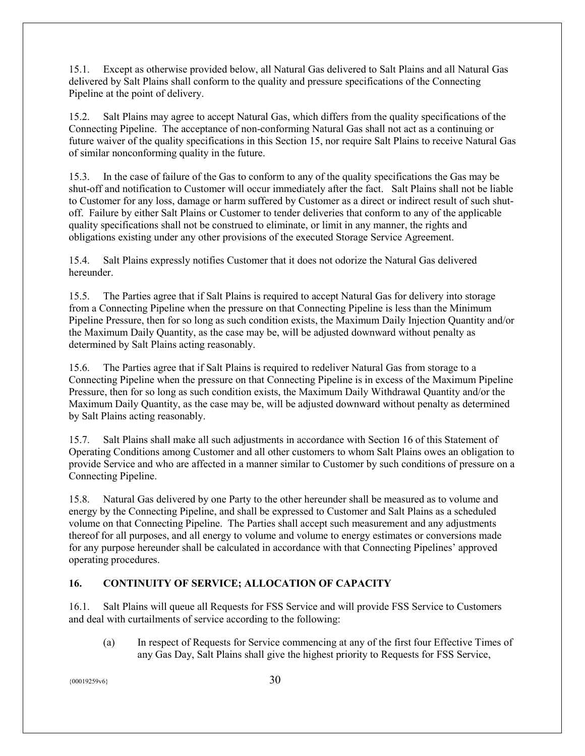15.1. Except as otherwise provided below, all Natural Gas delivered to Salt Plains and all Natural Gas delivered by Salt Plains shall conform to the quality and pressure specifications of the Connecting Pipeline at the point of delivery.

15.2. Salt Plains may agree to accept Natural Gas, which differs from the quality specifications of the Connecting Pipeline. The acceptance of non-conforming Natural Gas shall not act as a continuing or future waiver of the quality specifications in this Section 15, nor require Salt Plains to receive Natural Gas of similar nonconforming quality in the future.

15.3. In the case of failure of the Gas to conform to any of the quality specifications the Gas may be shut-off and notification to Customer will occur immediately after the fact. Salt Plains shall not be liable to Customer for any loss, damage or harm suffered by Customer as a direct or indirect result of such shutoff. Failure by either Salt Plains or Customer to tender deliveries that conform to any of the applicable quality specifications shall not be construed to eliminate, or limit in any manner, the rights and obligations existing under any other provisions of the executed Storage Service Agreement.

15.4. Salt Plains expressly notifies Customer that it does not odorize the Natural Gas delivered hereunder.

15.5. The Parties agree that if Salt Plains is required to accept Natural Gas for delivery into storage from a Connecting Pipeline when the pressure on that Connecting Pipeline is less than the Minimum Pipeline Pressure, then for so long as such condition exists, the Maximum Daily Injection Quantity and/or the Maximum Daily Quantity, as the case may be, will be adjusted downward without penalty as determined by Salt Plains acting reasonably.

15.6. The Parties agree that if Salt Plains is required to redeliver Natural Gas from storage to a Connecting Pipeline when the pressure on that Connecting Pipeline is in excess of the Maximum Pipeline Pressure, then for so long as such condition exists, the Maximum Daily Withdrawal Quantity and/or the Maximum Daily Quantity, as the case may be, will be adjusted downward without penalty as determined by Salt Plains acting reasonably.

15.7. Salt Plains shall make all such adjustments in accordance with Section 16 of this Statement of Operating Conditions among Customer and all other customers to whom Salt Plains owes an obligation to provide Service and who are affected in a manner similar to Customer by such conditions of pressure on a Connecting Pipeline.

15.8. Natural Gas delivered by one Party to the other hereunder shall be measured as to volume and energy by the Connecting Pipeline, and shall be expressed to Customer and Salt Plains as a scheduled volume on that Connecting Pipeline. The Parties shall accept such measurement and any adjustments thereof for all purposes, and all energy to volume and volume to energy estimates or conversions made for any purpose hereunder shall be calculated in accordance with that Connecting Pipelines' approved operating procedures.

# <span id="page-29-0"></span>**16. CONTINUITY OF SERVICE; ALLOCATION OF CAPACITY**

16.1. Salt Plains will queue all Requests for FSS Service and will provide FSS Service to Customers and deal with curtailments of service according to the following:

(a) In respect of Requests for Service commencing at any of the first four Effective Times of any Gas Day, Salt Plains shall give the highest priority to Requests for FSS Service,

 $\{00019259\sqrt{6}\}$  30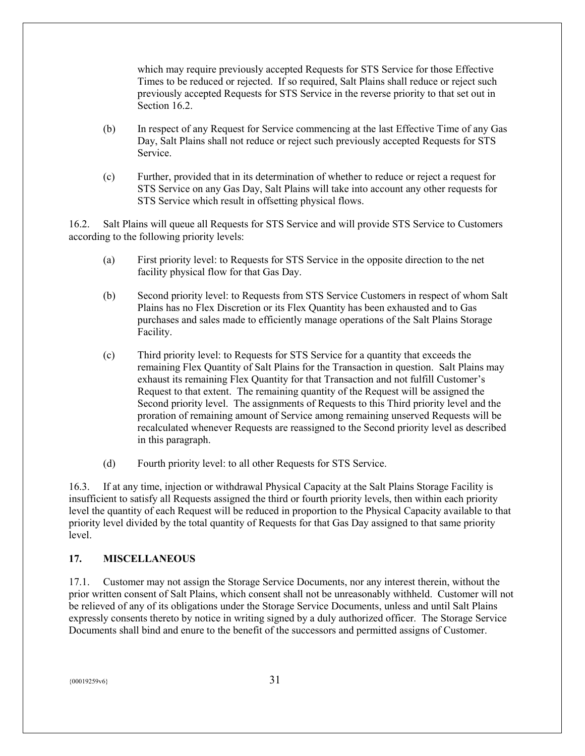which may require previously accepted Requests for STS Service for those Effective Times to be reduced or rejected. If so required, Salt Plains shall reduce or reject such previously accepted Requests for STS Service in the reverse priority to that set out in Section 16.2.

- (b) In respect of any Request for Service commencing at the last Effective Time of any Gas Day, Salt Plains shall not reduce or reject such previously accepted Requests for STS Service.
- (c) Further, provided that in its determination of whether to reduce or reject a request for STS Service on any Gas Day, Salt Plains will take into account any other requests for STS Service which result in offsetting physical flows.

16.2. Salt Plains will queue all Requests for STS Service and will provide STS Service to Customers according to the following priority levels:

- (a) First priority level: to Requests for STS Service in the opposite direction to the net facility physical flow for that Gas Day.
- (b) Second priority level: to Requests from STS Service Customers in respect of whom Salt Plains has no Flex Discretion or its Flex Quantity has been exhausted and to Gas purchases and sales made to efficiently manage operations of the Salt Plains Storage Facility.
- (c) Third priority level: to Requests for STS Service for a quantity that exceeds the remaining Flex Quantity of Salt Plains for the Transaction in question. Salt Plains may exhaust its remaining Flex Quantity for that Transaction and not fulfill Customer's Request to that extent. The remaining quantity of the Request will be assigned the Second priority level. The assignments of Requests to this Third priority level and the proration of remaining amount of Service among remaining unserved Requests will be recalculated whenever Requests are reassigned to the Second priority level as described in this paragraph.
- (d) Fourth priority level: to all other Requests for STS Service.

16.3. If at any time, injection or withdrawal Physical Capacity at the Salt Plains Storage Facility is insufficient to satisfy all Requests assigned the third or fourth priority levels, then within each priority level the quantity of each Request will be reduced in proportion to the Physical Capacity available to that priority level divided by the total quantity of Requests for that Gas Day assigned to that same priority level.

#### <span id="page-30-0"></span>**17. MISCELLANEOUS**

17.1. Customer may not assign the Storage Service Documents, nor any interest therein, without the prior written consent of Salt Plains, which consent shall not be unreasonably withheld. Customer will not be relieved of any of its obligations under the Storage Service Documents, unless and until Salt Plains expressly consents thereto by notice in writing signed by a duly authorized officer. The Storage Service Documents shall bind and enure to the benefit of the successors and permitted assigns of Customer.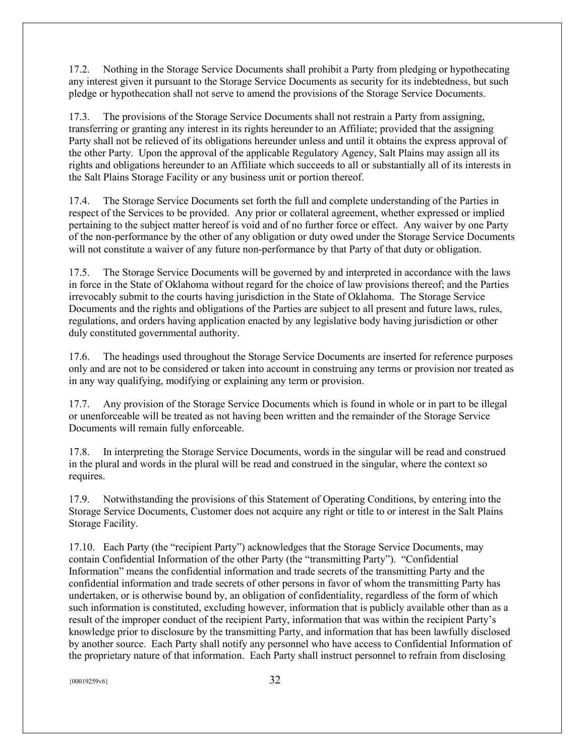17.2. Nothing in the Storage Service Documents shall prohibit a Party from pledging or hypothecating any interest given it pursuant to the Storage Service Documents as security for its indebtedness, but such pledge or hypothecation shall not serve to amend the provisions of the Storage Service Documents.

17.3. The provisions of the Storage Service Documents shall not restrain a Party from assigning, transferring or granting any interest in its rights hereunder to an Affiliate; provided that the assigning Party shall not be relieved of its obligations hereunder unless and until it obtains the express approval of the other Party. Upon the approval of the applicable Regulatory Agency, Salt Plains may assign all its rights and obligations hereunder to an Affiliate which succeeds to all or substantially all of its interests in the Salt Plains Storage Facility or any business unit or portion thereof.

17.4. The Storage Service Documents set forth the full and complete understanding of the Parties in respect of the Services to be provided. Any prior or collateral agreement, whether expressed or implied pertaining to the subject matter hereof is void and of no further force or effect. Any waiver by one Party of the non-performance by the other of any obligation or duty owed under the Storage Service Documents will not constitute a waiver of any future non-performance by that Party of that duty or obligation.

17.5. The Storage Service Documents will be governed by and interpreted in accordance with the laws in force in the State of Oklahoma without regard for the choice of law provisions thereof; and the Parties irrevocably submit to the courts having jurisdiction in the State of Oklahoma. The Storage Service Documents and the rights and obligations of the Parties are subject to all present and future laws, rules, regulations, and orders having application enacted by any legislative body having jurisdiction or other duly constituted governmental authority.

17.6. The headings used throughout the Storage Service Documents are inserted for reference purposes only and are not to be considered or taken into account in construing any terms or provision nor treated as in any way qualifying, modifying or explaining any term or provision.

17.7. Any provision of the Storage Service Documents which is found in whole or in part to be illegal or unenforceable will be treated as not having been written and the remainder of the Storage Service Documents will remain fully enforceable.

17.8. In interpreting the Storage Service Documents, words in the singular will be read and construed in the plural and words in the plural will be read and construed in the singular, where the context so requires.

17.9. Notwithstanding the provisions of this Statement of Operating Conditions, by entering into the Storage Service Documents, Customer does not acquire any right or title to or interest in the Salt Plains Storage Facility.

17.10. Each Party (the "recipient Party") acknowledges that the Storage Service Documents, may contain Confidential Information of the other Party (the "transmitting Party"). "Confidential Information" means the confidential information and trade secrets of the transmitting Party and the confidential information and trade secrets of other persons in favor of whom the transmitting Party has undertaken, or is otherwise bound by, an obligation of confidentiality, regardless of the form of which such information is constituted, excluding however, information that is publicly available other than as a result of the improper conduct of the recipient Party, information that was within the recipient Party's knowledge prior to disclosure by the transmitting Party, and information that has been lawfully disclosed by another source. Each Party shall notify any personnel who have access to Confidential Information of the proprietary nature of that information. Each Party shall instruct personnel to refrain from disclosing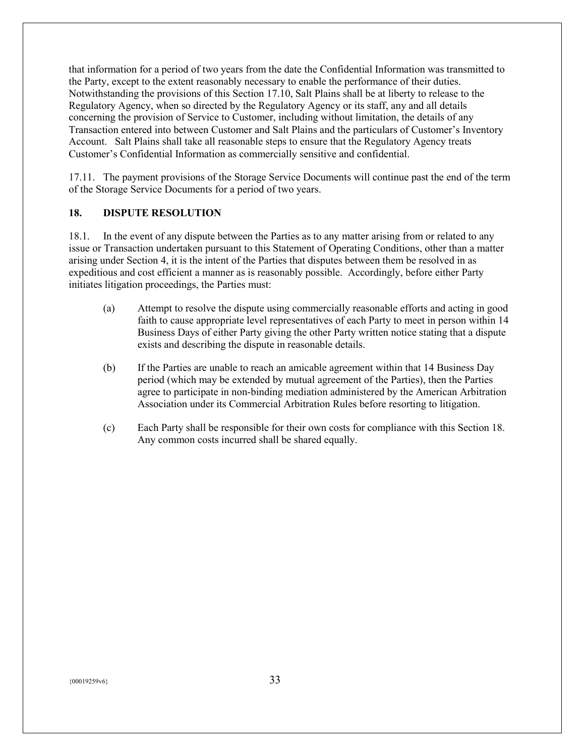that information for a period of two years from the date the Confidential Information was transmitted to the Party, except to the extent reasonably necessary to enable the performance of their duties. Notwithstanding the provisions of this Section 17.10, Salt Plains shall be at liberty to release to the Regulatory Agency, when so directed by the Regulatory Agency or its staff, any and all details concerning the provision of Service to Customer, including without limitation, the details of any Transaction entered into between Customer and Salt Plains and the particulars of Customer's Inventory Account. Salt Plains shall take all reasonable steps to ensure that the Regulatory Agency treats Customer's Confidential Information as commercially sensitive and confidential.

17.11. The payment provisions of the Storage Service Documents will continue past the end of the term of the Storage Service Documents for a period of two years.

# <span id="page-32-0"></span>**18. DISPUTE RESOLUTION**

18.1. In the event of any dispute between the Parties as to any matter arising from or related to any issue or Transaction undertaken pursuant to this Statement of Operating Conditions, other than a matter arising under Section 4, it is the intent of the Parties that disputes between them be resolved in as expeditious and cost efficient a manner as is reasonably possible. Accordingly, before either Party initiates litigation proceedings, the Parties must:

- (a) Attempt to resolve the dispute using commercially reasonable efforts and acting in good faith to cause appropriate level representatives of each Party to meet in person within 14 Business Days of either Party giving the other Party written notice stating that a dispute exists and describing the dispute in reasonable details.
- (b) If the Parties are unable to reach an amicable agreement within that 14 Business Day period (which may be extended by mutual agreement of the Parties), then the Parties agree to participate in non-binding mediation administered by the American Arbitration Association under its Commercial Arbitration Rules before resorting to litigation.
- (c) Each Party shall be responsible for their own costs for compliance with this Section 18. Any common costs incurred shall be shared equally.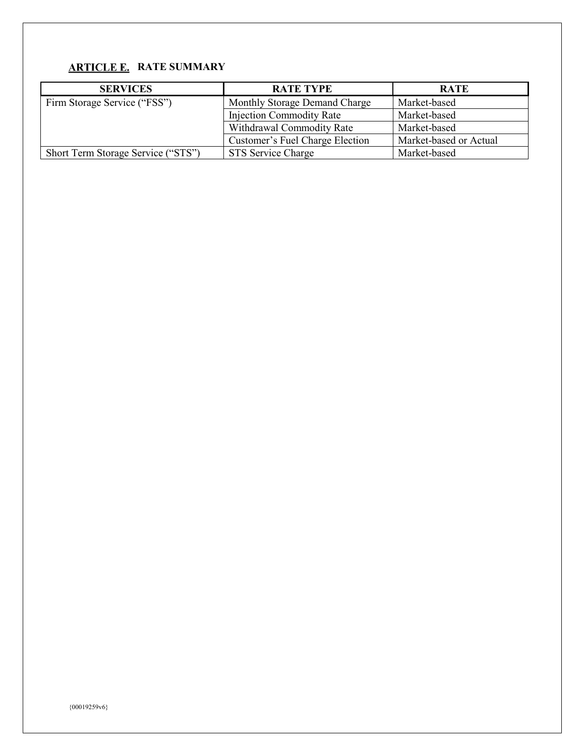# <span id="page-33-0"></span>**ARTICLE E. RATE SUMMARY**

| <b>SERVICES</b>                    | <b>RATE TYPE</b>                | <b>RATE</b>            |
|------------------------------------|---------------------------------|------------------------|
| Firm Storage Service ("FSS")       | Monthly Storage Demand Charge   | Market-based           |
|                                    | <b>Injection Commodity Rate</b> | Market-based           |
|                                    | Withdrawal Commodity Rate       | Market-based           |
|                                    | Customer's Fuel Charge Election | Market-based or Actual |
| Short Term Storage Service ("STS") | STS Service Charge              | Market-based           |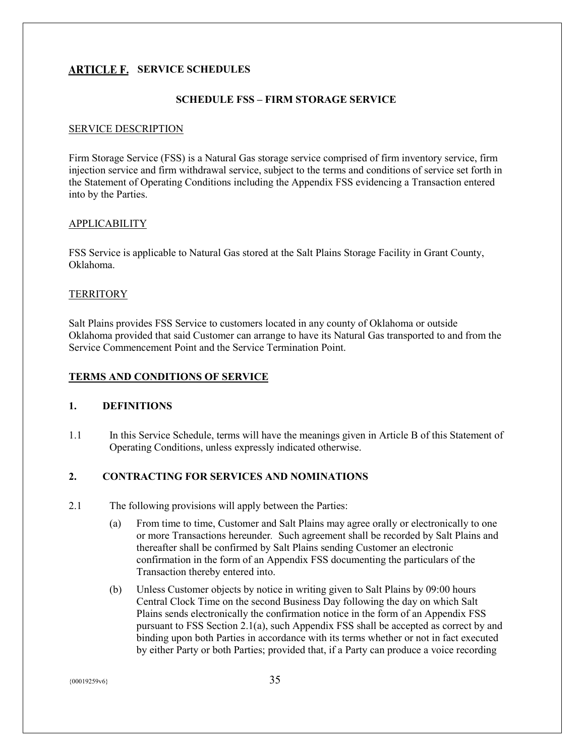# <span id="page-34-0"></span>**ARTICLE F. SERVICE SCHEDULES**

## **SCHEDULE FSS – FIRM STORAGE SERVICE**

#### SERVICE DESCRIPTION

Firm Storage Service (FSS) is a Natural Gas storage service comprised of firm inventory service, firm injection service and firm withdrawal service, subject to the terms and conditions of service set forth in the Statement of Operating Conditions including the Appendix FSS evidencing a Transaction entered into by the Parties.

#### APPLICABILITY

FSS Service is applicable to Natural Gas stored at the Salt Plains Storage Facility in Grant County, Oklahoma.

#### **TERRITORY**

Salt Plains provides FSS Service to customers located in any county of Oklahoma or outside Oklahoma provided that said Customer can arrange to have its Natural Gas transported to and from the Service Commencement Point and the Service Termination Point.

## **TERMS AND CONDITIONS OF SERVICE**

#### **1. DEFINITIONS**

1.1 In this Service Schedule, terms will have the meanings given in Article B of this Statement of Operating Conditions, unless expressly indicated otherwise.

#### **2. CONTRACTING FOR SERVICES AND NOMINATIONS**

- 2.1 The following provisions will apply between the Parties:
	- (a) From time to time, Customer and Salt Plains may agree orally or electronically to one or more Transactions hereunder*.* Such agreement shall be recorded by Salt Plains and thereafter shall be confirmed by Salt Plains sending Customer an electronic confirmation in the form of an Appendix FSS documenting the particulars of the Transaction thereby entered into.
	- (b) Unless Customer objects by notice in writing given to Salt Plains by 09:00 hours Central Clock Time on the second Business Day following the day on which Salt Plains sends electronically the confirmation notice in the form of an Appendix FSS pursuant to FSS Section 2.1(a), such Appendix FSS shall be accepted as correct by and binding upon both Parties in accordance with its terms whether or not in fact executed by either Party or both Parties; provided that, if a Party can produce a voice recording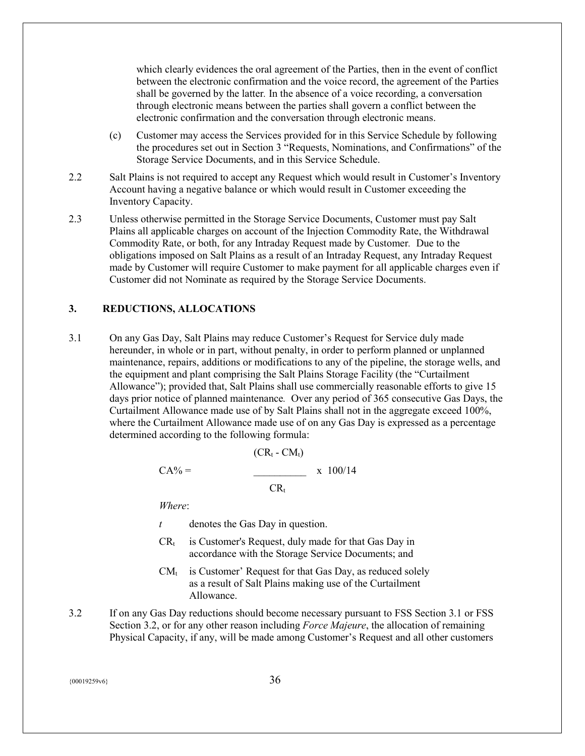which clearly evidences the oral agreement of the Parties, then in the event of conflict between the electronic confirmation and the voice record, the agreement of the Parties shall be governed by the latter*.* In the absence of a voice recording, a conversation through electronic means between the parties shall govern a conflict between the electronic confirmation and the conversation through electronic means.

- (c) Customer may access the Services provided for in this Service Schedule by following the procedures set out in Section 3 "Requests, Nominations, and Confirmations" of the Storage Service Documents, and in this Service Schedule.
- 2.2 Salt Plains is not required to accept any Request which would result in Customer's Inventory Account having a negative balance or which would result in Customer exceeding the Inventory Capacity.
- 2.3 Unless otherwise permitted in the Storage Service Documents, Customer must pay Salt Plains all applicable charges on account of the Injection Commodity Rate, the Withdrawal Commodity Rate, or both, for any Intraday Request made by Customer*.* Due to the obligations imposed on Salt Plains as a result of an Intraday Request, any Intraday Request made by Customer will require Customer to make payment for all applicable charges even if Customer did not Nominate as required by the Storage Service Documents.

#### **3. REDUCTIONS, ALLOCATIONS**

3.1 On any Gas Day, Salt Plains may reduce Customer's Request for Service duly made hereunder, in whole or in part, without penalty, in order to perform planned or unplanned maintenance, repairs, additions or modifications to any of the pipeline, the storage wells, and the equipment and plant comprising the Salt Plains Storage Facility (the "Curtailment Allowance"); provided that, Salt Plains shall use commercially reasonable efforts to give 15 days prior notice of planned maintenance*.* Over any period of 365 consecutive Gas Days, the Curtailment Allowance made use of by Salt Plains shall not in the aggregate exceed 100%, where the Curtailment Allowance made use of on any Gas Day is expressed as a percentage determined according to the following formula:

$$
CA\% = \frac{(CR_t - CM_t)}{CR_t} \times 100/14
$$

*Where*:

- *t* denotes the Gas Day in question.
- $CR<sub>t</sub>$  is Customer's Request, duly made for that Gas Day in accordance with the Storage Service Documents; and
- $CM_t$  is Customer' Request for that Gas Day, as reduced solely as a result of Salt Plains making use of the Curtailment Allowance.
- 3.2 If on any Gas Day reductions should become necessary pursuant to FSS Section 3.1 or FSS Section 3.2, or for any other reason including *Force Majeure*, the allocation of remaining Physical Capacity, if any, will be made among Customer's Request and all other customers

 $\{00019259\nu6\}$  36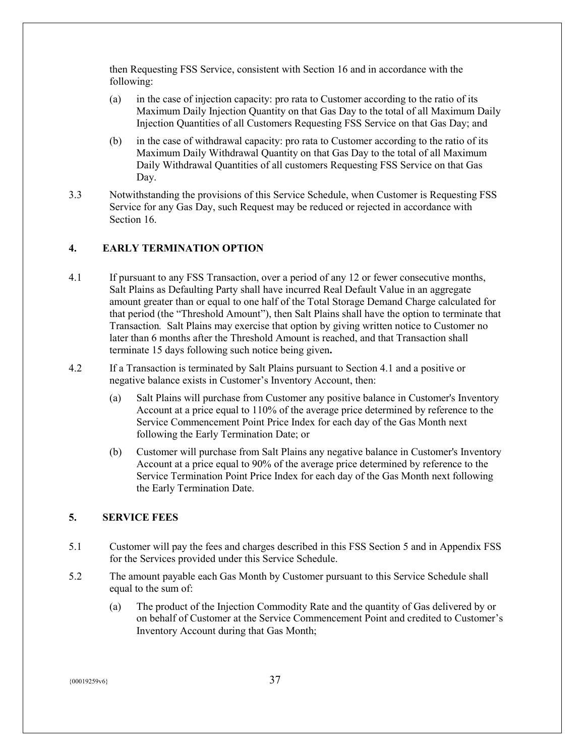then Requesting FSS Service, consistent with Section 16 and in accordance with the following:

- (a) in the case of injection capacity: pro rata to Customer according to the ratio of its Maximum Daily Injection Quantity on that Gas Day to the total of all Maximum Daily Injection Quantities of all Customers Requesting FSS Service on that Gas Day; and
- (b) in the case of withdrawal capacity: pro rata to Customer according to the ratio of its Maximum Daily Withdrawal Quantity on that Gas Day to the total of all Maximum Daily Withdrawal Quantities of all customers Requesting FSS Service on that Gas Day.
- 3.3 Notwithstanding the provisions of this Service Schedule, when Customer is Requesting FSS Service for any Gas Day, such Request may be reduced or rejected in accordance with Section 16

# **4. EARLY TERMINATION OPTION**

- 4.1 If pursuant to any FSS Transaction, over a period of any 12 or fewer consecutive months, Salt Plains as Defaulting Party shall have incurred Real Default Value in an aggregate amount greater than or equal to one half of the Total Storage Demand Charge calculated for that period (the "Threshold Amount"), then Salt Plains shall have the option to terminate that Transaction*.* Salt Plains may exercise that option by giving written notice to Customer no later than 6 months after the Threshold Amount is reached, and that Transaction shall terminate 15 days following such notice being given**.**
- 4.2 If a Transaction is terminated by Salt Plains pursuant to Section 4.1 and a positive or negative balance exists in Customer's Inventory Account, then:
	- (a) Salt Plains will purchase from Customer any positive balance in Customer's Inventory Account at a price equal to 110% of the average price determined by reference to the Service Commencement Point Price Index for each day of the Gas Month next following the Early Termination Date; or
	- (b) Customer will purchase from Salt Plains any negative balance in Customer's Inventory Account at a price equal to 90% of the average price determined by reference to the Service Termination Point Price Index for each day of the Gas Month next following the Early Termination Date.

# **5. SERVICE FEES**

- 5.1 Customer will pay the fees and charges described in this FSS Section 5 and in Appendix FSS for the Services provided under this Service Schedule.
- 5.2 The amount payable each Gas Month by Customer pursuant to this Service Schedule shall equal to the sum of:
	- (a) The product of the Injection Commodity Rate and the quantity of Gas delivered by or on behalf of Customer at the Service Commencement Point and credited to Customer's Inventory Account during that Gas Month;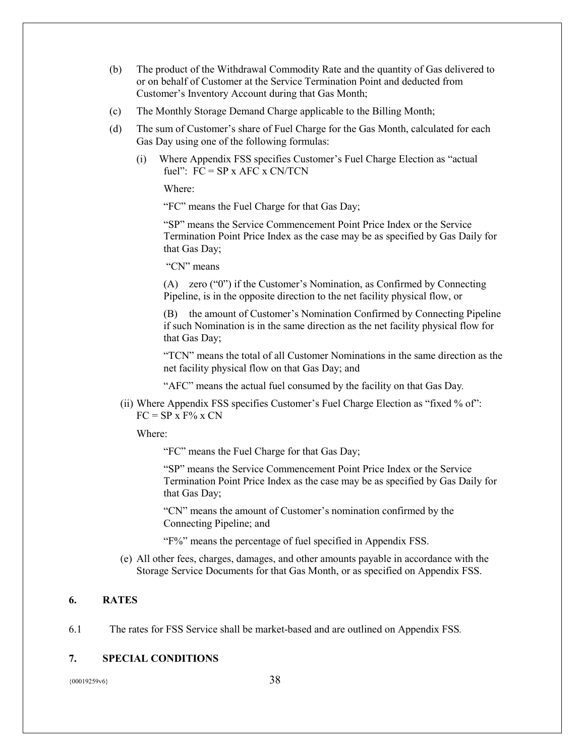- (b) The product of the Withdrawal Commodity Rate and the quantity of Gas delivered to or on behalf of Customer at the Service Termination Point and deducted from Customer's Inventory Account during that Gas Month;
- (c) The Monthly Storage Demand Charge applicable to the Billing Month;
- (d) The sum of Customer's share of Fuel Charge for the Gas Month, calculated for each Gas Day using one of the following formulas:
	- (i) Where Appendix FSS specifies Customer's Fuel Charge Election as "actual fuel":  $FC = SP x AFC x CNTCN$

Where:

"FC" means the Fuel Charge for that Gas Day;

"SP" means the Service Commencement Point Price Index or the Service Termination Point Price Index as the case may be as specified by Gas Daily for that Gas Day;

"CN" means

(A) zero ("0") if the Customer's Nomination, as Confirmed by Connecting Pipeline, is in the opposite direction to the net facility physical flow, or

(B) the amount of Customer's Nomination Confirmed by Connecting Pipeline if such Nomination is in the same direction as the net facility physical flow for that Gas Day;

"TCN" means the total of all Customer Nominations in the same direction as the net facility physical flow on that Gas Day; and

"AFC" means the actual fuel consumed by the facility on that Gas Day*.* 

(ii) Where Appendix FSS specifies Customer's Fuel Charge Election as "fixed % of":  $FC = SP x F\% x CN$ 

Where:

"FC" means the Fuel Charge for that Gas Day;

"SP" means the Service Commencement Point Price Index or the Service Termination Point Price Index as the case may be as specified by Gas Daily for that Gas Day;

"CN" means the amount of Customer's nomination confirmed by the Connecting Pipeline; and

"F%" means the percentage of fuel specified in Appendix FSS.

(e) All other fees, charges, damages, and other amounts payable in accordance with the Storage Service Documents for that Gas Month, or as specified on Appendix FSS.

#### **6. RATES**

6.1 The rates for FSS Service shall be market-based and are outlined on Appendix FSS*.* 

#### **7. SPECIAL CONDITIONS**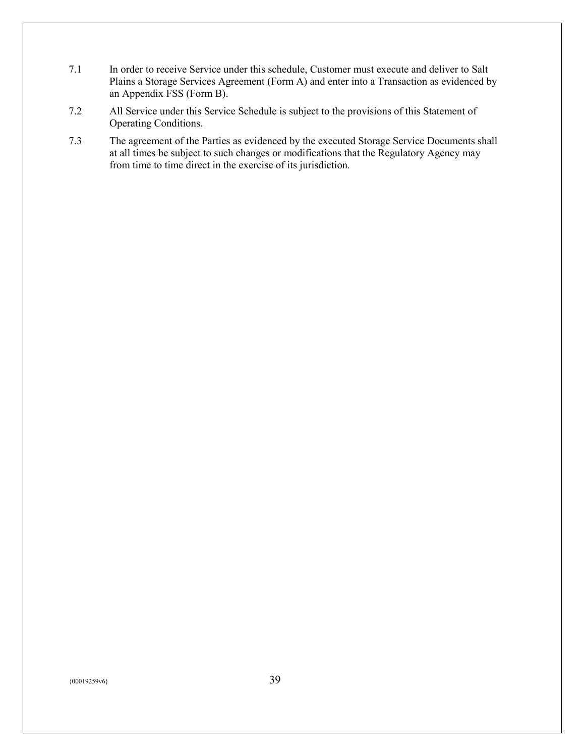- 7.1 In order to receive Service under this schedule, Customer must execute and deliver to Salt Plains a Storage Services Agreement (Form A) and enter into a Transaction as evidenced by an Appendix FSS (Form B).
- 7.2 All Service under this Service Schedule is subject to the provisions of this Statement of Operating Conditions.
- 7.3 The agreement of the Parties as evidenced by the executed Storage Service Documents shall at all times be subject to such changes or modifications that the Regulatory Agency may from time to time direct in the exercise of its jurisdiction*.*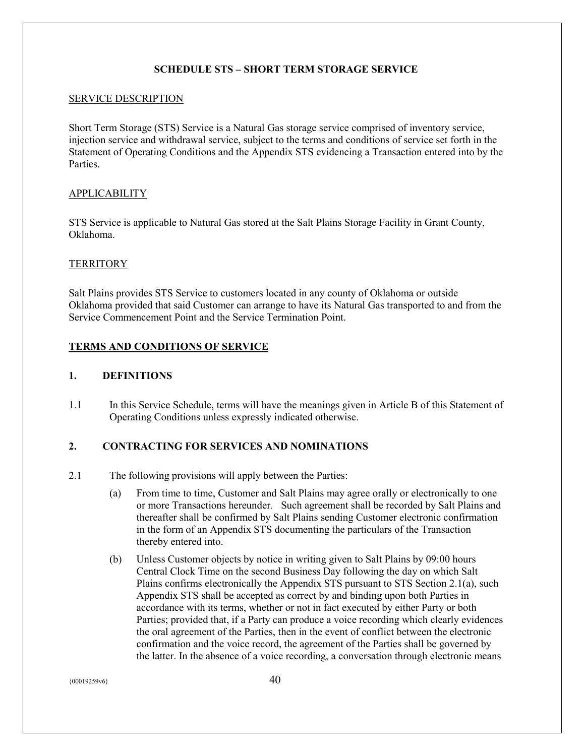#### **SCHEDULE STS – SHORT TERM STORAGE SERVICE**

#### SERVICE DESCRIPTION

Short Term Storage (STS) Service is a Natural Gas storage service comprised of inventory service, injection service and withdrawal service, subject to the terms and conditions of service set forth in the Statement of Operating Conditions and the Appendix STS evidencing a Transaction entered into by the Parties.

#### APPLICABILITY

STS Service is applicable to Natural Gas stored at the Salt Plains Storage Facility in Grant County, Oklahoma.

#### **TERRITORY**

Salt Plains provides STS Service to customers located in any county of Oklahoma or outside Oklahoma provided that said Customer can arrange to have its Natural Gas transported to and from the Service Commencement Point and the Service Termination Point.

# **TERMS AND CONDITIONS OF SERVICE**

#### **1. DEFINITIONS**

1.1 In this Service Schedule, terms will have the meanings given in Article B of this Statement of Operating Conditions unless expressly indicated otherwise.

#### **2. CONTRACTING FOR SERVICES AND NOMINATIONS**

- 2.1 The following provisions will apply between the Parties:
	- (a) From time to time, Customer and Salt Plains may agree orally or electronically to one or more Transactions hereunder*.* Such agreement shall be recorded by Salt Plains and thereafter shall be confirmed by Salt Plains sending Customer electronic confirmation in the form of an Appendix STS documenting the particulars of the Transaction thereby entered into.
	- (b) Unless Customer objects by notice in writing given to Salt Plains by 09:00 hours Central Clock Time on the second Business Day following the day on which Salt Plains confirms electronically the Appendix STS pursuant to STS Section 2.1(a), such Appendix STS shall be accepted as correct by and binding upon both Parties in accordance with its terms, whether or not in fact executed by either Party or both Parties; provided that, if a Party can produce a voice recording which clearly evidences the oral agreement of the Parties, then in the event of conflict between the electronic confirmation and the voice record, the agreement of the Parties shall be governed by the latter. In the absence of a voice recording, a conversation through electronic means

 $\{00019259\sqrt{6}\}$  40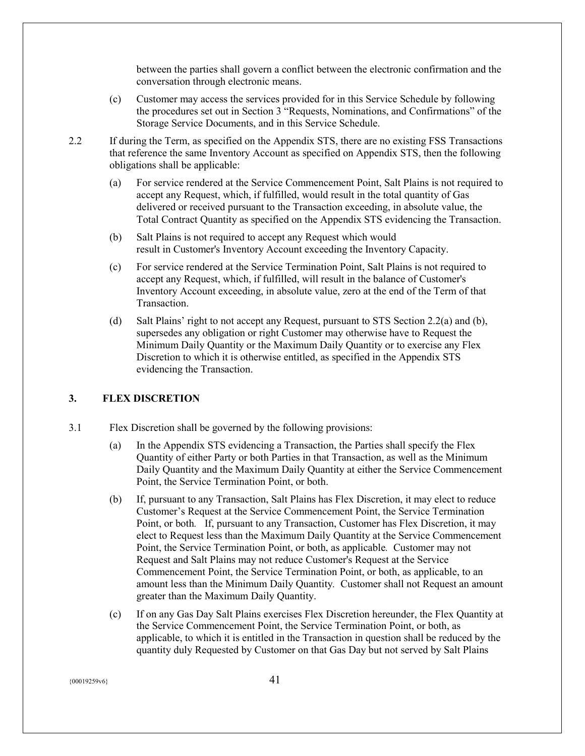between the parties shall govern a conflict between the electronic confirmation and the conversation through electronic means.

- (c) Customer may access the services provided for in this Service Schedule by following the procedures set out in Section 3 "Requests, Nominations, and Confirmations" of the Storage Service Documents, and in this Service Schedule.
- 2.2 If during the Term, as specified on the Appendix STS, there are no existing FSS Transactions that reference the same Inventory Account as specified on Appendix STS, then the following obligations shall be applicable:
	- (a) For service rendered at the Service Commencement Point, Salt Plains is not required to accept any Request, which, if fulfilled, would result in the total quantity of Gas delivered or received pursuant to the Transaction exceeding, in absolute value, the Total Contract Quantity as specified on the Appendix STS evidencing the Transaction.
	- (b) Salt Plains is not required to accept any Request which would result in Customer's Inventory Account exceeding the Inventory Capacity.
	- (c) For service rendered at the Service Termination Point, Salt Plains is not required to accept any Request, which, if fulfilled, will result in the balance of Customer's Inventory Account exceeding, in absolute value, zero at the end of the Term of that Transaction.
	- (d) Salt Plains' right to not accept any Request, pursuant to STS Section 2.2(a) and (b), supersedes any obligation or right Customer may otherwise have to Request the Minimum Daily Quantity or the Maximum Daily Quantity or to exercise any Flex Discretion to which it is otherwise entitled, as specified in the Appendix STS evidencing the Transaction.

# **3. FLEX DISCRETION**

- 3.1 Flex Discretion shall be governed by the following provisions:
	- (a) In the Appendix STS evidencing a Transaction, the Parties shall specify the Flex Quantity of either Party or both Parties in that Transaction, as well as the Minimum Daily Quantity and the Maximum Daily Quantity at either the Service Commencement Point, the Service Termination Point, or both.
	- (b) If, pursuant to any Transaction, Salt Plains has Flex Discretion, it may elect to reduce Customer's Request at the Service Commencement Point, the Service Termination Point, or both*.* If, pursuant to any Transaction, Customer has Flex Discretion, it may elect to Request less than the Maximum Daily Quantity at the Service Commencement Point, the Service Termination Point, or both, as applicable*.* Customer may not Request and Salt Plains may not reduce Customer's Request at the Service Commencement Point, the Service Termination Point, or both, as applicable, to an amount less than the Minimum Daily Quantity*.* Customer shall not Request an amount greater than the Maximum Daily Quantity.
	- (c) If on any Gas Day Salt Plains exercises Flex Discretion hereunder, the Flex Quantity at the Service Commencement Point, the Service Termination Point, or both, as applicable, to which it is entitled in the Transaction in question shall be reduced by the quantity duly Requested by Customer on that Gas Day but not served by Salt Plains

 $\{00019259\sqrt{6}\}$  41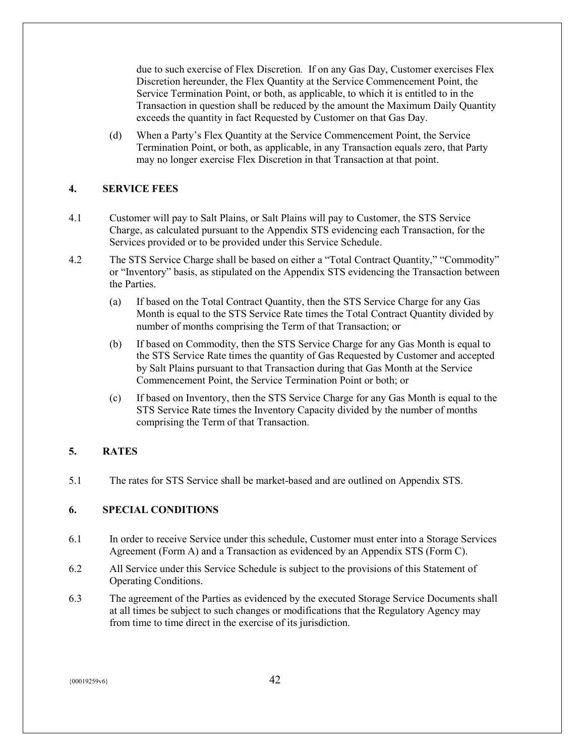due to such exercise of Flex Discretion*.* If on any Gas Day, Customer exercises Flex Discretion hereunder, the Flex Quantity at the Service Commencement Point, the Service Termination Point, or both, as applicable, to which it is entitled to in the Transaction in question shall be reduced by the amount the Maximum Daily Quantity exceeds the quantity in fact Requested by Customer on that Gas Day.

(d) When a Party's Flex Quantity at the Service Commencement Point, the Service Termination Point, or both, as applicable, in any Transaction equals zero, that Party may no longer exercise Flex Discretion in that Transaction at that point.

# **4. SERVICE FEES**

- 4.1 Customer will pay to Salt Plains, or Salt Plains will pay to Customer, the STS Service Charge, as calculated pursuant to the Appendix STS evidencing each Transaction, for the Services provided or to be provided under this Service Schedule.
- 4.2 The STS Service Charge shall be based on either a "Total Contract Quantity," "Commodity" or "Inventory" basis, as stipulated on the Appendix STS evidencing the Transaction between the Parties.
	- (a) If based on the Total Contract Quantity, then the STS Service Charge for any Gas Month is equal to the STS Service Rate times the Total Contract Quantity divided by number of months comprising the Term of that Transaction; or
	- (b) If based on Commodity, then the STS Service Charge for any Gas Month is equal to the STS Service Rate times the quantity of Gas Requested by Customer and accepted by Salt Plains pursuant to that Transaction during that Gas Month at the Service Commencement Point, the Service Termination Point or both; or
	- (c) If based on Inventory, then the STS Service Charge for any Gas Month is equal to the STS Service Rate times the Inventory Capacity divided by the number of months comprising the Term of that Transaction.

# **5. RATES**

5.1 The rates for STS Service shall be market-based and are outlined on Appendix STS.

# **6. SPECIAL CONDITIONS**

- 6.1 In order to receive Service under this schedule, Customer must enter into a Storage Services Agreement (Form A) and a Transaction as evidenced by an Appendix STS (Form C).
- 6.2 All Service under this Service Schedule is subject to the provisions of this Statement of Operating Conditions.
- 6.3 The agreement of the Parties as evidenced by the executed Storage Service Documents shall at all times be subject to such changes or modifications that the Regulatory Agency may from time to time direct in the exercise of its jurisdiction.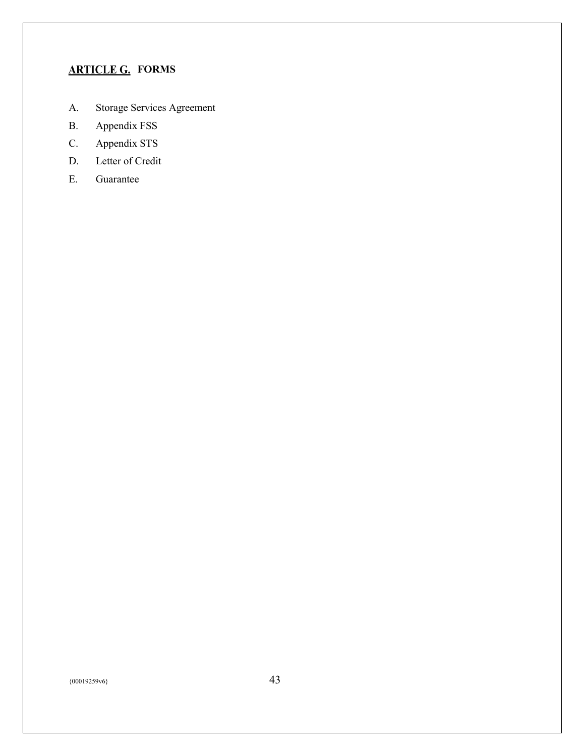# <span id="page-42-0"></span>**ARTICLE G. FORMS**

- A. Storage Services Agreement
- B. Appendix FSS
- C. Appendix STS
- D. Letter of Credit
- E. Guarantee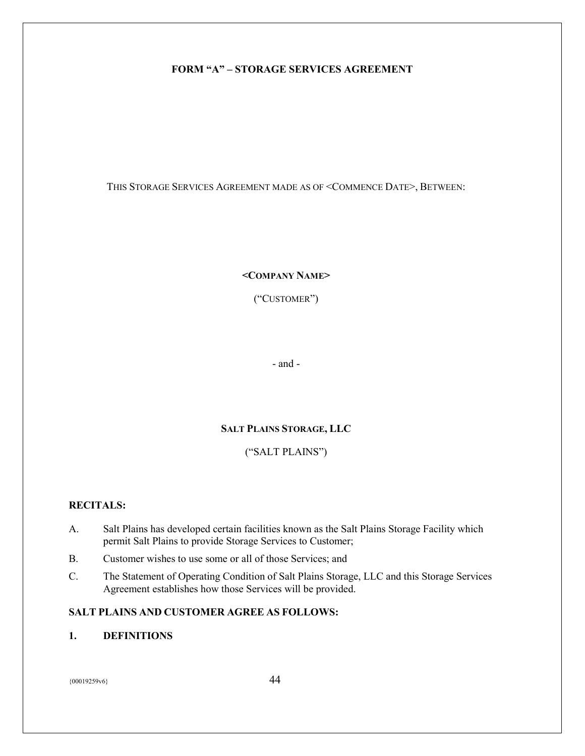# <span id="page-43-0"></span>**FORM "A" – STORAGE SERVICES AGREEMENT**

THIS STORAGE SERVICES AGREEMENT MADE AS OF <COMMENCE DATE>, BETWEEN:

#### **<COMPANY NAME>**

("CUSTOMER")

- and -

#### **SALT PLAINS STORAGE, LLC**

# ("SALT PLAINS")

#### **RECITALS:**

- A. Salt Plains has developed certain facilities known as the Salt Plains Storage Facility which permit Salt Plains to provide Storage Services to Customer;
- B. Customer wishes to use some or all of those Services; and
- C. The Statement of Operating Condition of Salt Plains Storage, LLC and this Storage Services Agreement establishes how those Services will be provided.

### **SALT PLAINS AND CUSTOMER AGREE AS FOLLOWS:**

# **1. DEFINITIONS**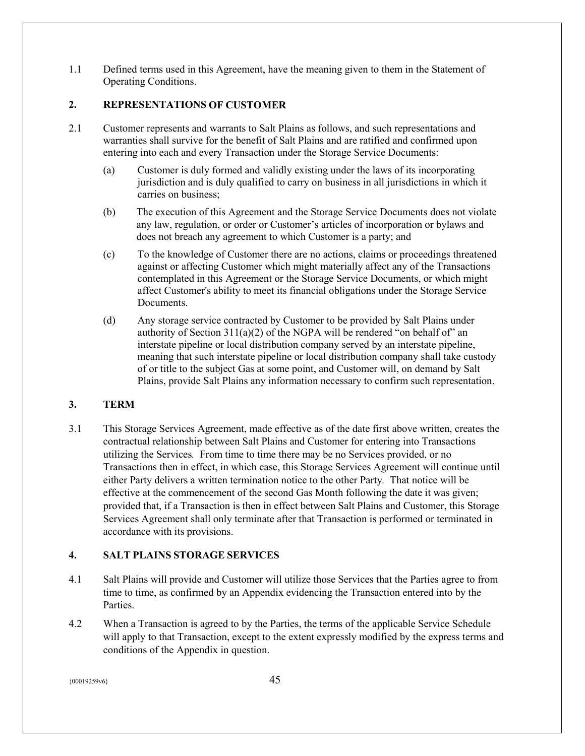1.1 Defined terms used in this Agreement, have the meaning given to them in the Statement of Operating Conditions.

# **2. REPRESENTATIONS OF CUSTOMER**

- 2.1 Customer represents and warrants to Salt Plains as follows, and such representations and warranties shall survive for the benefit of Salt Plains and are ratified and confirmed upon entering into each and every Transaction under the Storage Service Documents:
	- (a) Customer is duly formed and validly existing under the laws of its incorporating jurisdiction and is duly qualified to carry on business in all jurisdictions in which it carries on business;
	- (b) The execution of this Agreement and the Storage Service Documents does not violate any law, regulation, or order or Customer's articles of incorporation or bylaws and does not breach any agreement to which Customer is a party; and
	- (c) To the knowledge of Customer there are no actions, claims or proceedings threatened against or affecting Customer which might materially affect any of the Transactions contemplated in this Agreement or the Storage Service Documents, or which might affect Customer's ability to meet its financial obligations under the Storage Service Documents.
	- (d) Any storage service contracted by Customer to be provided by Salt Plains under authority of Section  $311(a)(2)$  of the NGPA will be rendered "on behalf of" an interstate pipeline or local distribution company served by an interstate pipeline, meaning that such interstate pipeline or local distribution company shall take custody of or title to the subject Gas at some point, and Customer will, on demand by Salt Plains, provide Salt Plains any information necessary to confirm such representation.

# **3. TERM**

3.1 This Storage Services Agreement, made effective as of the date first above written, creates the contractual relationship between Salt Plains and Customer for entering into Transactions utilizing the Services*.* From time to time there may be no Services provided, or no Transactions then in effect, in which case, this Storage Services Agreement will continue until either Party delivers a written termination notice to the other Party*.* That notice will be effective at the commencement of the second Gas Month following the date it was given; provided that, if a Transaction is then in effect between Salt Plains and Customer, this Storage Services Agreement shall only terminate after that Transaction is performed or terminated in accordance with its provisions.

# **4. SALT PLAINS STORAGE SERVICES**

- 4.1 Salt Plains will provide and Customer will utilize those Services that the Parties agree to from time to time, as confirmed by an Appendix evidencing the Transaction entered into by the Parties.
- 4.2 When a Transaction is agreed to by the Parties, the terms of the applicable Service Schedule will apply to that Transaction, except to the extent expressly modified by the express terms and conditions of the Appendix in question.

 $\{00019259\sqrt{6}\}$  45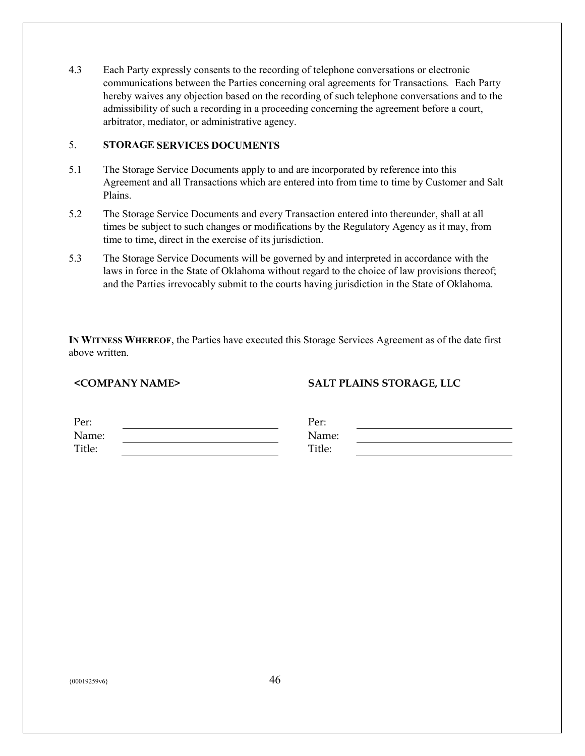4.3 Each Party expressly consents to the recording of telephone conversations or electronic communications between the Parties concerning oral agreements for Transactions*.* Each Party hereby waives any objection based on the recording of such telephone conversations and to the admissibility of such a recording in a proceeding concerning the agreement before a court, arbitrator, mediator, or administrative agency.

### 5. **STORAGE SERVICES DOCUMENTS**

- 5.1 The Storage Service Documents apply to and are incorporated by reference into this Agreement and all Transactions which are entered into from time to time by Customer and Salt Plains.
- 5.2 The Storage Service Documents and every Transaction entered into thereunder, shall at all times be subject to such changes or modifications by the Regulatory Agency as it may, from time to time, direct in the exercise of its jurisdiction.
- 5.3 The Storage Service Documents will be governed by and interpreted in accordance with the laws in force in the State of Oklahoma without regard to the choice of law provisions thereof; and the Parties irrevocably submit to the courts having jurisdiction in the State of Oklahoma.

**IN WITNESS WHEREOF**, the Parties have executed this Storage Services Agreement as of the date first above written.

# **<COMPANY NAME> SALT PLAINS STORAGE, LLC**

| Per:   | Per:   |  |
|--------|--------|--|
| Name:  | Name:  |  |
| Title: | Title: |  |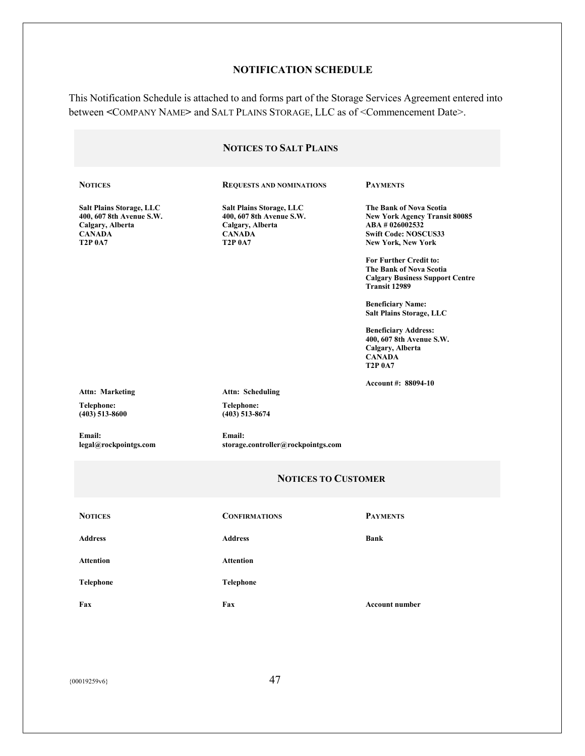# **NOTIFICATION SCHEDULE**

This Notification Schedule is attached to and forms part of the Storage Services Agreement entered into between **<**COMPANY NAME**>** and SALT PLAINS STORAGE, LLC as of <Commencement Date>.

|                                                                                                                    | <b>NOTICES TO SALT PLAINS</b>                                                                                      |                                                                                                                                               |
|--------------------------------------------------------------------------------------------------------------------|--------------------------------------------------------------------------------------------------------------------|-----------------------------------------------------------------------------------------------------------------------------------------------|
| <b>NOTICES</b>                                                                                                     | <b>REQUESTS AND NOMINATIONS</b>                                                                                    | <b>PAYMENTS</b>                                                                                                                               |
| <b>Salt Plains Storage, LLC</b><br>400, 607 8th Avenue S.W.<br>Calgary, Alberta<br><b>CANADA</b><br><b>T2P 0A7</b> | <b>Salt Plains Storage, LLC</b><br>400, 607 8th Avenue S.W.<br>Calgary, Alberta<br><b>CANADA</b><br><b>T2P 0A7</b> | The Bank of Nova Scotia<br><b>New York Agency Transit 80085</b><br>ABA #026002532<br><b>Swift Code: NOSCUS33</b><br><b>New York, New York</b> |
|                                                                                                                    |                                                                                                                    | <b>For Further Credit to:</b><br>The Bank of Nova Scotia<br><b>Calgary Business Support Centre</b><br>Transit 12989                           |
|                                                                                                                    |                                                                                                                    | <b>Beneficiary Name:</b><br><b>Salt Plains Storage, LLC</b>                                                                                   |
|                                                                                                                    |                                                                                                                    | <b>Beneficiary Address:</b><br>400, 607 8th Avenue S.W.<br>Calgary, Alberta<br><b>CANADA</b><br><b>T2P 0A7</b>                                |
| <b>Attn: Marketing</b>                                                                                             | <b>Attn: Scheduling</b>                                                                                            | Account #: 88094-10                                                                                                                           |
| Telephone:<br>$(403)$ 513-8600                                                                                     | Telephone:<br>$(403)$ 513-8674                                                                                     |                                                                                                                                               |
| Email:<br>legal@rockpointgs.com                                                                                    | Email:<br>storage.controller@rockpointgs.com                                                                       |                                                                                                                                               |
|                                                                                                                    | <b>NOTICES TO CUSTOMER</b>                                                                                         |                                                                                                                                               |
| <b>NOTICES</b>                                                                                                     | <b>CONFIRMATIONS</b>                                                                                               | <b>PAYMENTS</b>                                                                                                                               |
| <b>Address</b>                                                                                                     | <b>Address</b>                                                                                                     | <b>Bank</b>                                                                                                                                   |
| <b>Attention</b>                                                                                                   | <b>Attention</b>                                                                                                   |                                                                                                                                               |
| <b>Telephone</b>                                                                                                   | Telephone                                                                                                          |                                                                                                                                               |
| Fax                                                                                                                | Fax                                                                                                                | <b>Account number</b>                                                                                                                         |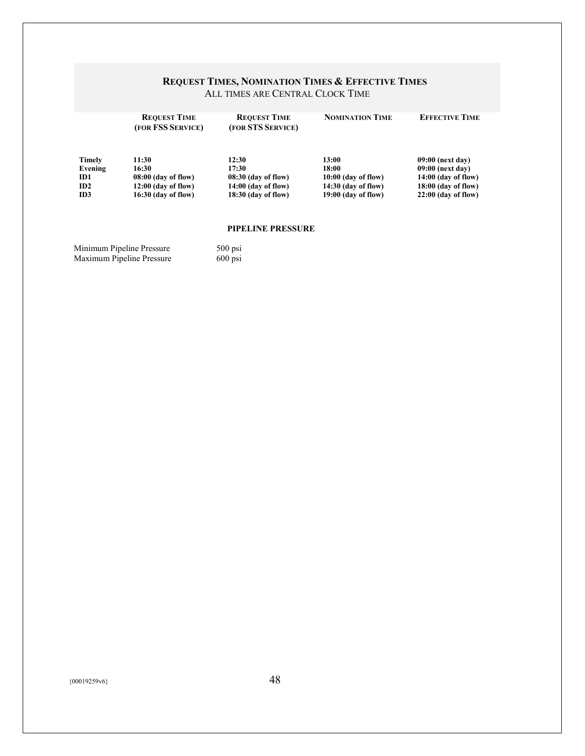#### **REQUEST TIMES, NOMINATION TIMES & EFFECTIVE TIMES** ALL TIMES ARE CENTRAL CLOCK TIME

|               | <b>REQUEST TIME</b><br>(FOR FSS SERVICE) | <b>REQUEST TIME</b><br>(FOR STS SERVICE) | <b>NOMINATION TIME</b> | <b>EFFECTIVE TIME</b> |
|---------------|------------------------------------------|------------------------------------------|------------------------|-----------------------|
| <b>Timely</b> | 11:30                                    | 12:30                                    | 13:00                  | 09:00 (next day)      |
| Evening       | 16:30                                    | 17:30                                    | 18:00                  | 09:00 (next day)      |
| ID1           | $08:00$ (day of flow)                    | $08:30$ (day of flow)                    | $10:00$ (day of flow)  | $14:00$ (day of flow) |
| ID2           | $12:00$ (day of flow)                    | $14:00$ (day of flow)                    | $14:30$ (day of flow)  | $18:00$ (day of flow) |
| ID3           | $16:30$ (day of flow)                    | $18:30$ (day of flow)                    | $19:00$ (day of flow)  | $22:00$ (day of flow) |
|               |                                          |                                          |                        |                       |

#### **PIPELINE PRESSURE**

Minimum Pipeline Pressure 500 psi Maximum Pipeline Pressure 600 psi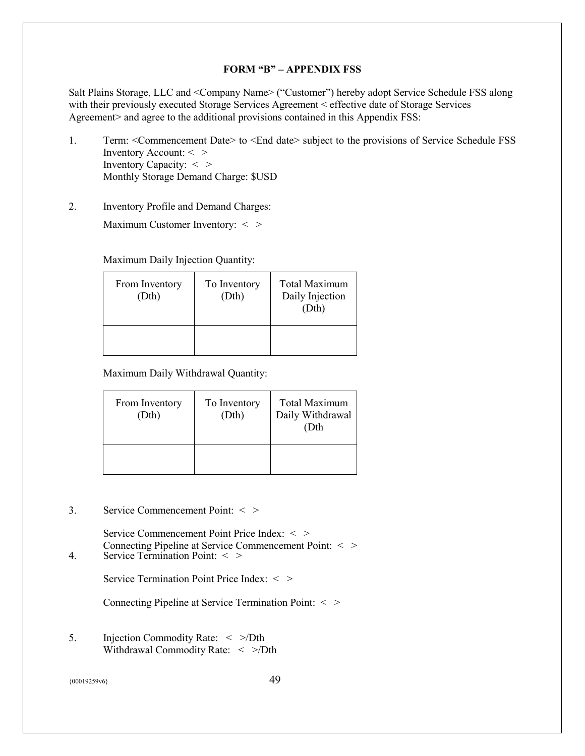#### **FORM "B" – APPENDIX FSS**

<span id="page-48-0"></span>Salt Plains Storage, LLC and <Company Name> ("Customer") hereby adopt Service Schedule FSS along with their previously executed Storage Services Agreement < effective date of Storage Services Agreement> and agree to the additional provisions contained in this Appendix FSS:

- 1. Term: <Commencement Date> to <End date> subject to the provisions of Service Schedule FSS Inventory Account: < > Inventory Capacity: < > Monthly Storage Demand Charge: \$USD
- 2. Inventory Profile and Demand Charges:

Maximum Customer Inventory: < >

Maximum Daily Injection Quantity:

| From Inventory<br>(Dth) | To Inventory<br>(Dth) | <b>Total Maximum</b><br>Daily Injection<br>(Dth) |
|-------------------------|-----------------------|--------------------------------------------------|
|                         |                       |                                                  |

Maximum Daily Withdrawal Quantity:

| From Inventory<br>(Dth) | To Inventory<br>(Dth) | <b>Total Maximum</b><br>Daily Withdrawal<br>(Dth) |
|-------------------------|-----------------------|---------------------------------------------------|
|                         |                       |                                                   |

3. Service Commencement Point: < >

Service Commencement Point Price Index: < > Connecting Pipeline at Service Commencement Point: < > 4. Service Termination Point: < >

Service Termination Point Price Index: < >

Connecting Pipeline at Service Termination Point: < >

5. Injection Commodity Rate: < >/Dth Withdrawal Commodity Rate: < >/Dth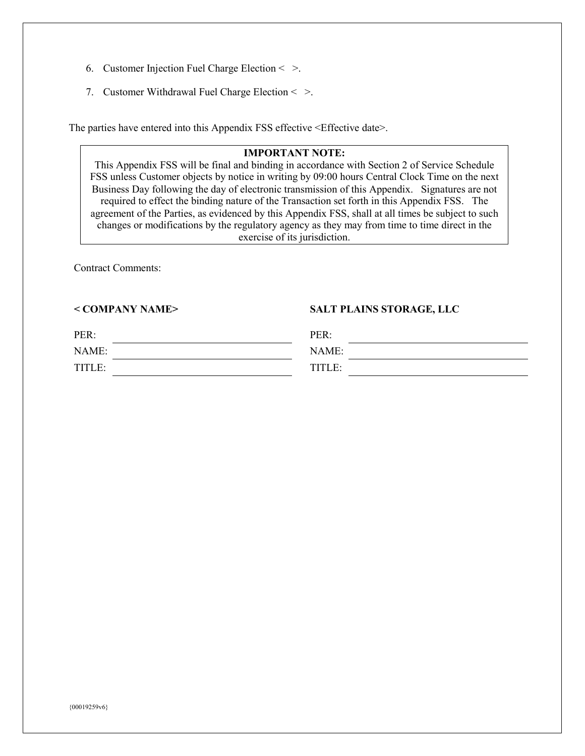- 6. Customer Injection Fuel Charge Election < >.
- 7. Customer Withdrawal Fuel Charge Election < >.

The parties have entered into this Appendix FSS effective <Effective date>.

# **IMPORTANT NOTE:**

This Appendix FSS will be final and binding in accordance with Section 2 of Service Schedule FSS unless Customer objects by notice in writing by 09:00 hours Central Clock Time on the next Business Day following the day of electronic transmission of this Appendix. Signatures are not required to effect the binding nature of the Transaction set forth in this Appendix FSS. The agreement of the Parties, as evidenced by this Appendix FSS, shall at all times be subject to such changes or modifications by the regulatory agency as they may from time to time direct in the exercise of its jurisdiction.

Contract Comments:

#### **< COMPANY NAME> SALT PLAINS STORAGE, LLC**

| PER:   | PER:   |  |
|--------|--------|--|
| NAME:  | NAME:  |  |
| TITLE: | TITLE: |  |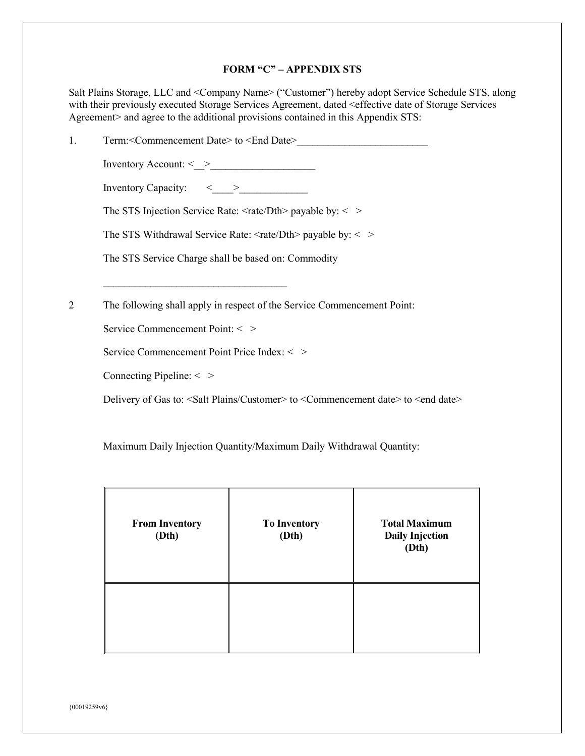#### **FORM "C" – APPENDIX STS**

<span id="page-50-0"></span>Salt Plains Storage, LLC and <Company Name> ("Customer") hereby adopt Service Schedule STS, along with their previously executed Storage Services Agreement, dated <effective date of Storage Services Agreement> and agree to the additional provisions contained in this Appendix STS:

| Term: <commencement date=""> to <end date=""></end></commencement>                                                      |
|-------------------------------------------------------------------------------------------------------------------------|
|                                                                                                                         |
|                                                                                                                         |
| The STS Injection Service Rate: $\langle \text{rate/Dth} \rangle$ payable by: $\langle \rangle$                         |
| The STS Withdrawal Service Rate: $\langle \text{rate/Dth} \rangle$ payable by: $\langle \rangle$                        |
| The STS Service Charge shall be based on: Commodity                                                                     |
|                                                                                                                         |
| The following shall apply in respect of the Service Commencement Point:                                                 |
|                                                                                                                         |
| Service Commencement Point: < >                                                                                         |
| Service Commencement Point Price Index: < >                                                                             |
| Connecting Pipeline: $\langle \rangle$                                                                                  |
| Delivery of Gas to: <salt customer="" plains=""> to <commencement date=""> to <end date=""></end></commencement></salt> |

Maximum Daily Injection Quantity/Maximum Daily Withdrawal Quantity:

| <b>From Inventory</b><br>(Dth) | <b>To Inventory</b><br>(Dth) | <b>Total Maximum</b><br><b>Daily Injection</b><br>(Dth) |
|--------------------------------|------------------------------|---------------------------------------------------------|
|                                |                              |                                                         |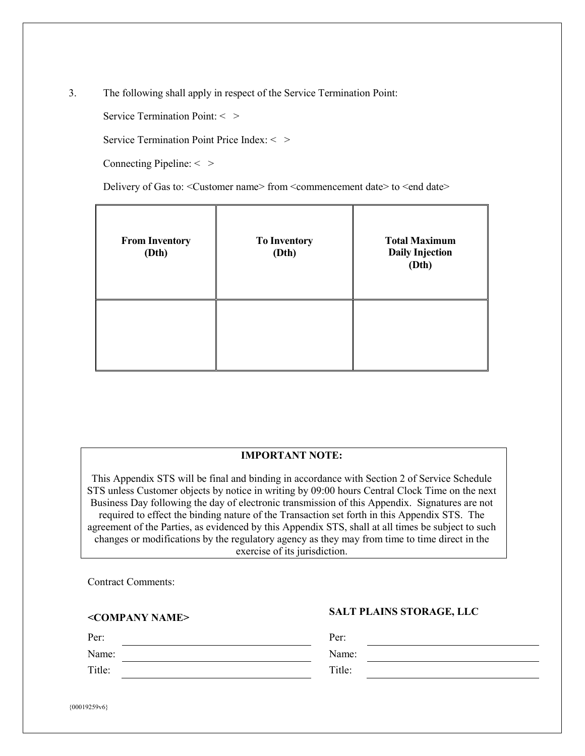3. The following shall apply in respect of the Service Termination Point:

Service Termination Point:  $\langle \rangle$ 

Service Termination Point Price Index: < >

Connecting Pipeline: < >

Delivery of Gas to: <Customer name> from <commencement date> to <end date>

| <b>From Inventory</b><br>(Dth) | <b>To Inventory</b><br>(Dth) | <b>Total Maximum</b><br><b>Daily Injection</b><br>(Dth) |
|--------------------------------|------------------------------|---------------------------------------------------------|
|                                |                              |                                                         |

# **IMPORTANT NOTE:**

This Appendix STS will be final and binding in accordance with Section 2 of Service Schedule STS unless Customer objects by notice in writing by 09:00 hours Central Clock Time on the next Business Day following the day of electronic transmission of this Appendix. Signatures are not required to effect the binding nature of the Transaction set forth in this Appendix STS. The agreement of the Parties, as evidenced by this Appendix STS, shall at all times be subject to such changes or modifications by the regulatory agency as they may from time to time direct in the exercise of its jurisdiction.

Contract Comments:

# **<COMPANY NAME> SALT PLAINS STORAGE, LLC**

Per: Per: Name: Name: Name: Title: Title: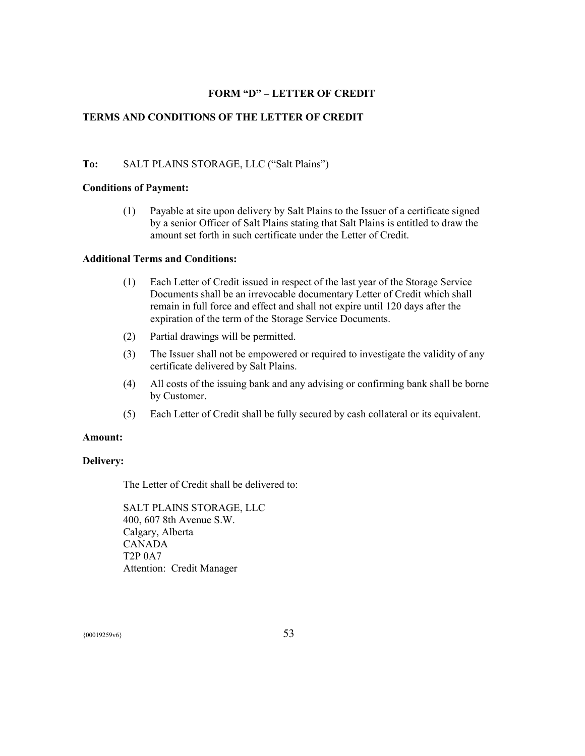### **FORM "D" – LETTER OF CREDIT**

## <span id="page-52-0"></span>**TERMS AND CONDITIONS OF THE LETTER OF CREDIT**

#### **To:** SALT PLAINS STORAGE, LLC ("Salt Plains")

#### **Conditions of Payment:**

(1) Payable at site upon delivery by Salt Plains to the Issuer of a certificate signed by a senior Officer of Salt Plains stating that Salt Plains is entitled to draw the amount set forth in such certificate under the Letter of Credit.

#### **Additional Terms and Conditions:**

- (1) Each Letter of Credit issued in respect of the last year of the Storage Service Documents shall be an irrevocable documentary Letter of Credit which shall remain in full force and effect and shall not expire until 120 days after the expiration of the term of the Storage Service Documents.
- (2) Partial drawings will be permitted.
- (3) The Issuer shall not be empowered or required to investigate the validity of any certificate delivered by Salt Plains.
- (4) All costs of the issuing bank and any advising or confirming bank shall be borne by Customer.
- (5) Each Letter of Credit shall be fully secured by cash collateral or its equivalent.

#### **Amount:**

#### **Delivery:**

The Letter of Credit shall be delivered to:

SALT PLAINS STORAGE, LLC 400, 607 8th Avenue S.W. Calgary, Alberta CANADA T2P 0A7 Attention: Credit Manager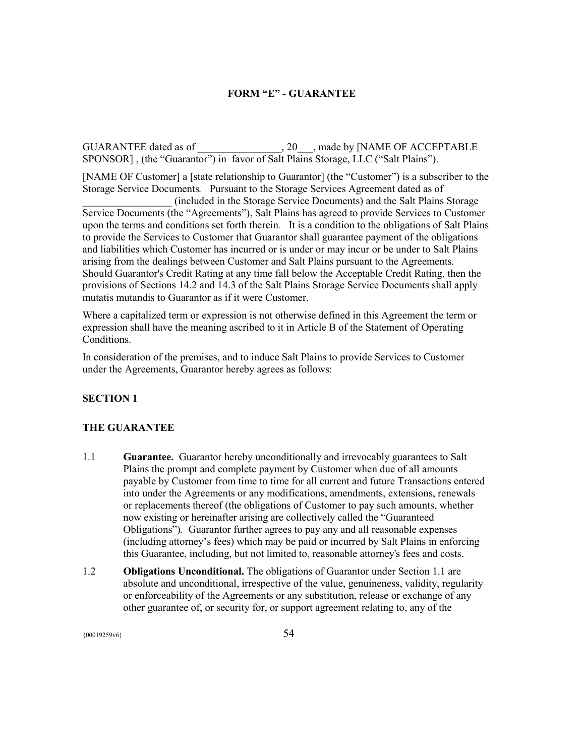## **FORM "E" - GUARANTEE**

<span id="page-53-0"></span>GUARANTEE dated as of  $\qquad \qquad , 20 \qquad ,$  made by [NAME OF ACCEPTABLE SPONSOR], (the "Guarantor") in favor of Salt Plains Storage, LLC ("Salt Plains").

[NAME OF Customer] a [state relationship to Guarantor] (the "Customer") is a subscriber to the Storage Service Documents*.* Pursuant to the Storage Services Agreement dated as of

\_\_\_\_\_\_\_\_\_\_\_\_\_\_\_\_\_ (included in the Storage Service Documents) and the Salt Plains Storage Service Documents (the "Agreements"), Salt Plains has agreed to provide Services to Customer upon the terms and conditions set forth therein*.* It is a condition to the obligations of Salt Plains to provide the Services to Customer that Guarantor shall guarantee payment of the obligations and liabilities which Customer has incurred or is under or may incur or be under to Salt Plains arising from the dealings between Customer and Salt Plains pursuant to the Agreements*.*  Should Guarantor's Credit Rating at any time fall below the Acceptable Credit Rating, then the provisions of Sections 14.2 and 14.3 of the Salt Plains Storage Service Documents shall apply mutatis mutandis to Guarantor as if it were Customer.

Where a capitalized term or expression is not otherwise defined in this Agreement the term or expression shall have the meaning ascribed to it in Article B of the Statement of Operating Conditions.

In consideration of the premises, and to induce Salt Plains to provide Services to Customer under the Agreements, Guarantor hereby agrees as follows:

#### **SECTION 1**

#### **THE GUARANTEE**

- 1.1 **Guarantee.** Guarantor hereby unconditionally and irrevocably guarantees to Salt Plains the prompt and complete payment by Customer when due of all amounts payable by Customer from time to time for all current and future Transactions entered into under the Agreements or any modifications, amendments, extensions, renewals or replacements thereof (the obligations of Customer to pay such amounts, whether now existing or hereinafter arising are collectively called the "Guaranteed Obligations")*.* Guarantor further agrees to pay any and all reasonable expenses (including attorney's fees) which may be paid or incurred by Salt Plains in enforcing this Guarantee, including, but not limited to, reasonable attorney's fees and costs.
- 1.2 **Obligations Unconditional.** The obligations of Guarantor under Section 1.1 are absolute and unconditional, irrespective of the value, genuineness, validity, regularity or enforceability of the Agreements or any substitution, release or exchange of any other guarantee of, or security for, or support agreement relating to, any of the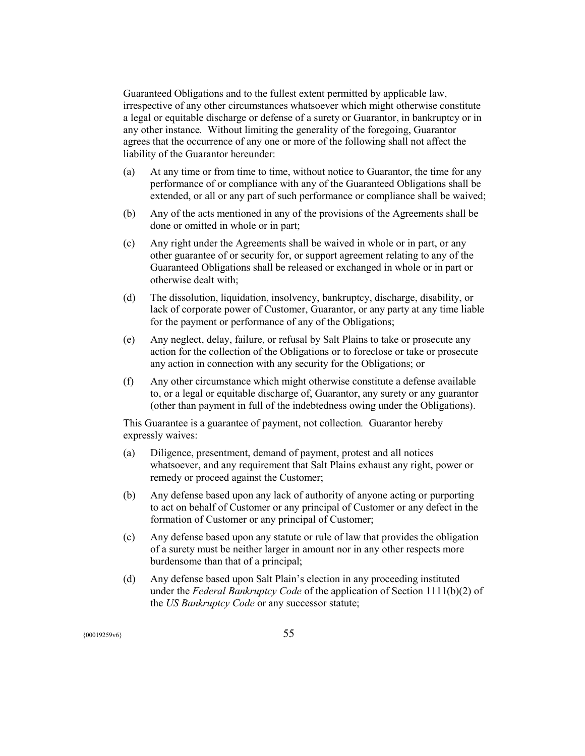Guaranteed Obligations and to the fullest extent permitted by applicable law, irrespective of any other circumstances whatsoever which might otherwise constitute a legal or equitable discharge or defense of a surety or Guarantor, in bankruptcy or in any other instance*.* Without limiting the generality of the foregoing, Guarantor agrees that the occurrence of any one or more of the following shall not affect the liability of the Guarantor hereunder:

- (a) At any time or from time to time, without notice to Guarantor, the time for any performance of or compliance with any of the Guaranteed Obligations shall be extended, or all or any part of such performance or compliance shall be waived;
- (b) Any of the acts mentioned in any of the provisions of the Agreements shall be done or omitted in whole or in part;
- (c) Any right under the Agreements shall be waived in whole or in part, or any other guarantee of or security for, or support agreement relating to any of the Guaranteed Obligations shall be released or exchanged in whole or in part or otherwise dealt with;
- (d) The dissolution, liquidation, insolvency, bankruptcy, discharge, disability, or lack of corporate power of Customer, Guarantor, or any party at any time liable for the payment or performance of any of the Obligations;
- (e) Any neglect, delay, failure, or refusal by Salt Plains to take or prosecute any action for the collection of the Obligations or to foreclose or take or prosecute any action in connection with any security for the Obligations; or
- (f) Any other circumstance which might otherwise constitute a defense available to, or a legal or equitable discharge of, Guarantor, any surety or any guarantor (other than payment in full of the indebtedness owing under the Obligations).

This Guarantee is a guarantee of payment, not collection*.* Guarantor hereby expressly waives:

- (a) Diligence, presentment, demand of payment, protest and all notices whatsoever, and any requirement that Salt Plains exhaust any right, power or remedy or proceed against the Customer;
- (b) Any defense based upon any lack of authority of anyone acting or purporting to act on behalf of Customer or any principal of Customer or any defect in the formation of Customer or any principal of Customer;
- (c) Any defense based upon any statute or rule of law that provides the obligation of a surety must be neither larger in amount nor in any other respects more burdensome than that of a principal;
- (d) Any defense based upon Salt Plain's election in any proceeding instituted under the *Federal Bankruptcy Code* of the application of Section 1111(b)(2) of the *US Bankruptcy Code* or any successor statute;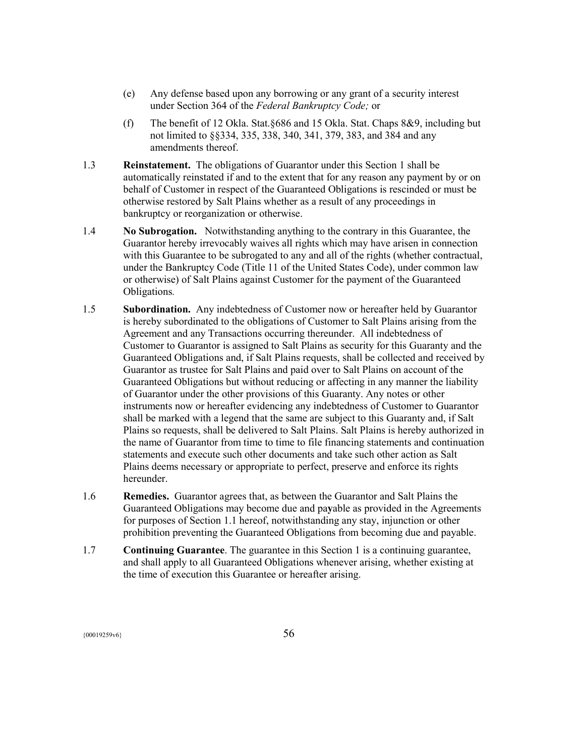- (e) Any defense based upon any borrowing or any grant of a security interest under Section 364 of the *Federal Bankruptcy Code;* or
- (f) The benefit of 12 Okla. Stat.§686 and 15 Okla. Stat. Chaps 8&9, including but not limited to §§334, 335, 338, 340, 341, 379, 383, and 384 and any amendments thereof.
- 1.3 **Reinstatement.** The obligations of Guarantor under this Section 1 shall be automatically reinstated if and to the extent that for any reason any payment by or on behalf of Customer in respect of the Guaranteed Obligations is rescinded or must be otherwise restored by Salt Plains whether as a result of any proceedings in bankruptcy or reorganization or otherwise.
- 1.4 **No Subrogation.** Notwithstanding anything to the contrary in this Guarantee, the Guarantor hereby irrevocably waives all rights which may have arisen in connection with this Guarantee to be subrogated to any and all of the rights (whether contractual, under the Bankruptcy Code (Title 11 of the United States Code), under common law or otherwise) of Salt Plains against Customer for the payment of the Guaranteed Obligations*.*
- 1.5 **Subordination.** Any indebtedness of Customer now or hereafter held by Guarantor is hereby subordinated to the obligations of Customer to Salt Plains arising from the Agreement and any Transactions occurring thereunder. All indebtedness of Customer to Guarantor is assigned to Salt Plains as security for this Guaranty and the Guaranteed Obligations and, if Salt Plains requests, shall be collected and received by Guarantor as trustee for Salt Plains and paid over to Salt Plains on account of the Guaranteed Obligations but without reducing or affecting in any manner the liability of Guarantor under the other provisions of this Guaranty. Any notes or other instruments now or hereafter evidencing any indebtedness of Customer to Guarantor shall be marked with a legend that the same are subject to this Guaranty and, if Salt Plains so requests, shall be delivered to Salt Plains. Salt Plains is hereby authorized in the name of Guarantor from time to time to file financing statements and continuation statements and execute such other documents and take such other action as Salt Plains deems necessary or appropriate to perfect, preserve and enforce its rights hereunder.
- 1.6 **Remedies.** Guarantor agrees that, as between the Guarantor and Salt Plains the Guaranteed Obligations may become due and pa**y**able as provided in the Agreements for purposes of Section 1.1 hereof, notwithstanding any stay, injunction or other prohibition preventing the Guaranteed Obligations from becoming due and payable.
- 1.7 **Continuing Guarantee**. The guarantee in this Section 1 is a continuing guarantee, and shall apply to all Guaranteed Obligations whenever arising, whether existing at the time of execution this Guarantee or hereafter arising.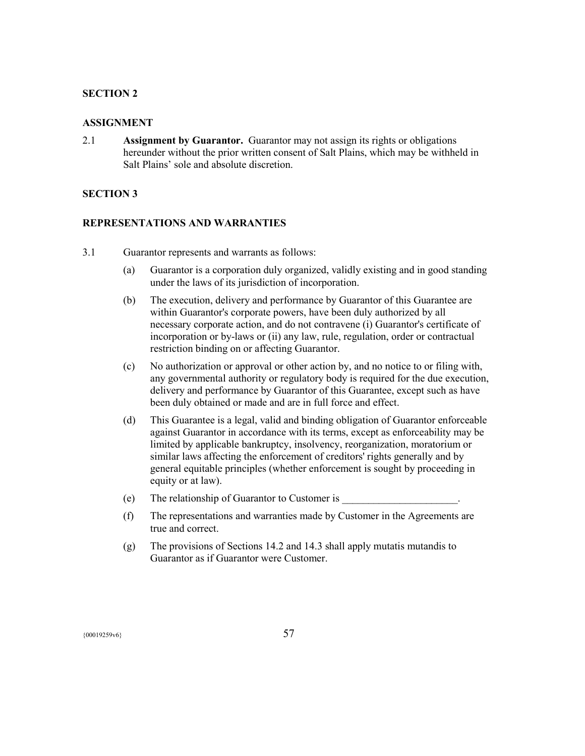## **SECTION 2**

#### **ASSIGNMENT**

2.1 **Assignment by Guarantor.** Guarantor may not assign its rights or obligations hereunder without the prior written consent of Salt Plains, which may be withheld in Salt Plains' sole and absolute discretion.

#### **SECTION 3**

#### **REPRESENTATIONS AND WARRANTIES**

- 3.1 Guarantor represents and warrants as follows:
	- (a) Guarantor is a corporation duly organized, validly existing and in good standing under the laws of its jurisdiction of incorporation.
	- (b) The execution, delivery and performance by Guarantor of this Guarantee are within Guarantor's corporate powers, have been duly authorized by all necessary corporate action, and do not contravene (i) Guarantor's certificate of incorporation or by-laws or (ii) any law, rule, regulation, order or contractual restriction binding on or affecting Guarantor.
	- (c) No authorization or approval or other action by, and no notice to or filing with, any governmental authority or regulatory body is required for the due execution, delivery and performance by Guarantor of this Guarantee, except such as have been duly obtained or made and are in full force and effect.
	- (d) This Guarantee is a legal, valid and binding obligation of Guarantor enforceable against Guarantor in accordance with its terms, except as enforceability may be limited by applicable bankruptcy, insolvency, reorganization, moratorium or similar laws affecting the enforcement of creditors' rights generally and by general equitable principles (whether enforcement is sought by proceeding in equity or at law).
	- (e) The relationship of Guarantor to Customer is \_\_\_\_\_\_\_\_\_\_\_\_\_\_\_\_\_\_\_\_\_\_.
	- (f) The representations and warranties made by Customer in the Agreements are true and correct.
	- (g) The provisions of Sections 14.2 and 14.3 shall apply mutatis mutandis to Guarantor as if Guarantor were Customer.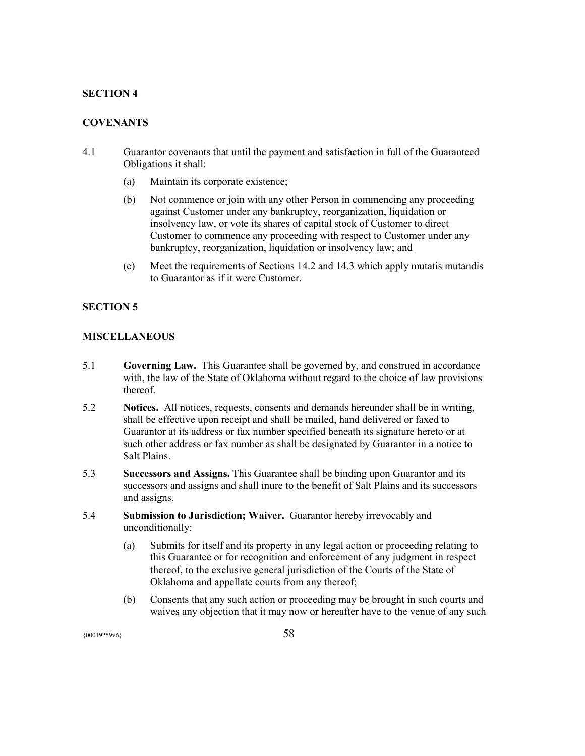# **SECTION 4**

# **COVENANTS**

- 4.1 Guarantor covenants that until the payment and satisfaction in full of the Guaranteed Obligations it shall:
	- (a) Maintain its corporate existence;
	- (b) Not commence or join with any other Person in commencing any proceeding against Customer under any bankruptcy, reorganization, liquidation or insolvency law, or vote its shares of capital stock of Customer to direct Customer to commence any proceeding with respect to Customer under any bankruptcy, reorganization, liquidation or insolvency law; and
	- (c) Meet the requirements of Sections 14.2 and 14.3 which apply mutatis mutandis to Guarantor as if it were Customer.

# **SECTION 5**

#### **MISCELLANEOUS**

- 5.1 **Governing Law.** This Guarantee shall be governed by, and construed in accordance with, the law of the State of Oklahoma without regard to the choice of law provisions thereof.
- 5.2 **Notices.** All notices, requests, consents and demands hereunder shall be in writing, shall be effective upon receipt and shall be mailed, hand delivered or faxed to Guarantor at its address or fax number specified beneath its signature hereto or at such other address or fax number as shall be designated by Guarantor in a notice to Salt Plains.
- 5.3 **Successors and Assigns.** This Guarantee shall be binding upon Guarantor and its successors and assigns and shall inure to the benefit of Salt Plains and its successors and assigns.
- 5.4 **Submission to Jurisdiction; Waiver.** Guarantor hereby irrevocably and unconditionally:
	- (a) Submits for itself and its property in any legal action or proceeding relating to this Guarantee or for recognition and enforcement of any judgment in respect thereof, to the exclusive general jurisdiction of the Courts of the State of Oklahoma and appellate courts from any thereof;
	- (b) Consents that any such action or proceeding may be brought in such courts and waives any objection that it may now or hereafter have to the venue of any such